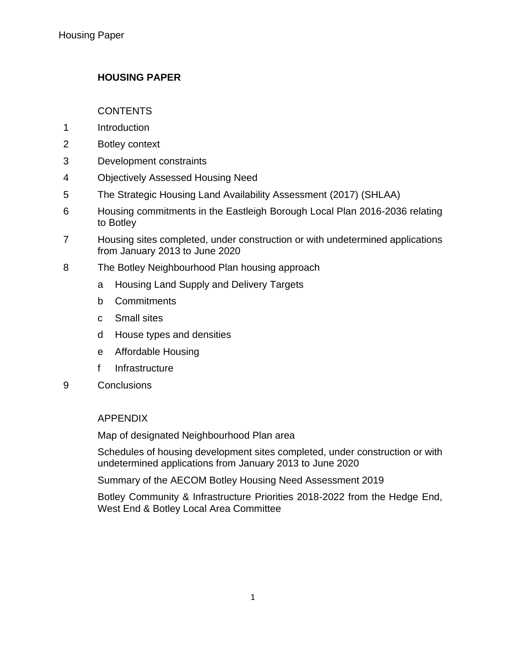# **HOUSING PAPER**

## **CONTENTS**

- 1 Introduction
- 2 Botley context
- 3 Development constraints
- 4 Objectively Assessed Housing Need
- 5 The Strategic Housing Land Availability Assessment (2017) (SHLAA)
- 6 Housing commitments in the Eastleigh Borough Local Plan 2016-2036 relating to Botley
- 7 Housing sites completed, under construction or with undetermined applications from January 2013 to June 2020
- 8 The Botley Neighbourhood Plan housing approach
	- a Housing Land Supply and Delivery Targets
	- b Commitments
	- c Small sites
	- d House types and densities
	- e Affordable Housing
	- f Infrastructure
- 9 Conclusions

## APPENDIX

Map of designated Neighbourhood Plan area

Schedules of housing development sites completed, under construction or with undetermined applications from January 2013 to June 2020

Summary of the AECOM Botley Housing Need Assessment 2019

Botley Community & Infrastructure Priorities 2018-2022 from the Hedge End, West End & Botley Local Area Committee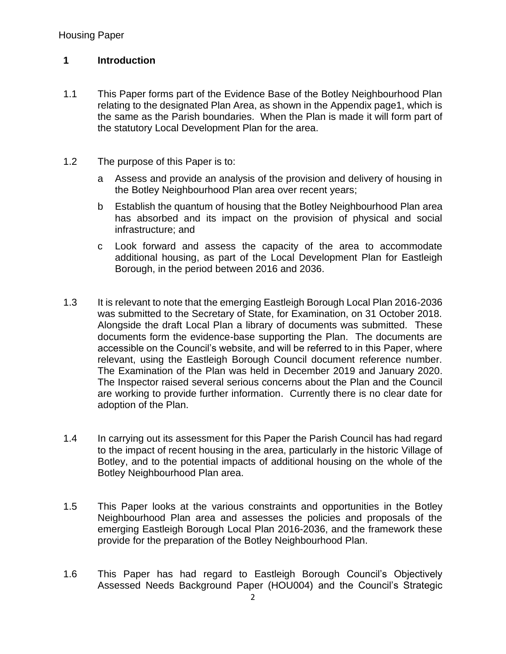## **1 Introduction**

- 1.1 This Paper forms part of the Evidence Base of the Botley Neighbourhood Plan relating to the designated Plan Area, as shown in the Appendix page1, which is the same as the Parish boundaries. When the Plan is made it will form part of the statutory Local Development Plan for the area.
- 1.2 The purpose of this Paper is to:
	- a Assess and provide an analysis of the provision and delivery of housing in the Botley Neighbourhood Plan area over recent years;
	- b Establish the quantum of housing that the Botley Neighbourhood Plan area has absorbed and its impact on the provision of physical and social infrastructure; and
	- c Look forward and assess the capacity of the area to accommodate additional housing, as part of the Local Development Plan for Eastleigh Borough, in the period between 2016 and 2036.
- 1.3 It is relevant to note that the emerging Eastleigh Borough Local Plan 2016-2036 was submitted to the Secretary of State, for Examination, on 31 October 2018. Alongside the draft Local Plan a library of documents was submitted. These documents form the evidence-base supporting the Plan. The documents are accessible on the Council's website, and will be referred to in this Paper, where relevant, using the Eastleigh Borough Council document reference number. The Examination of the Plan was held in December 2019 and January 2020. The Inspector raised several serious concerns about the Plan and the Council are working to provide further information. Currently there is no clear date for adoption of the Plan.
- 1.4 In carrying out its assessment for this Paper the Parish Council has had regard to the impact of recent housing in the area, particularly in the historic Village of Botley, and to the potential impacts of additional housing on the whole of the Botley Neighbourhood Plan area.
- 1.5 This Paper looks at the various constraints and opportunities in the Botley Neighbourhood Plan area and assesses the policies and proposals of the emerging Eastleigh Borough Local Plan 2016-2036, and the framework these provide for the preparation of the Botley Neighbourhood Plan.
- 1.6 This Paper has had regard to Eastleigh Borough Council's Objectively Assessed Needs Background Paper (HOU004) and the Council's Strategic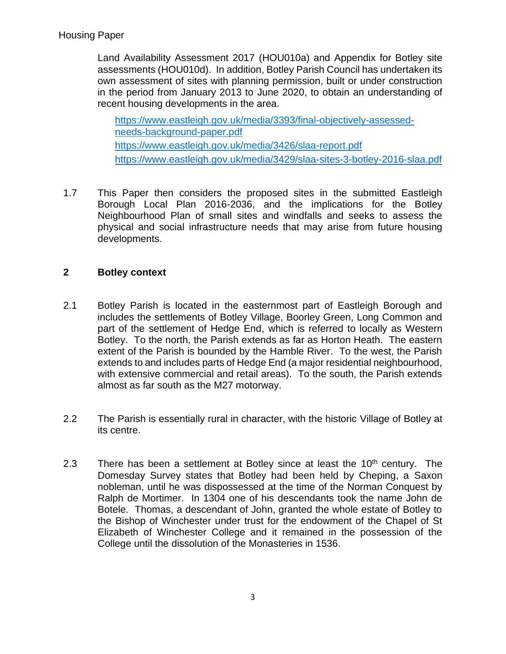Land Availability Assessment 2017 (HOU010a) and Appendix for Botley site assessments (HOU010d). In addition, Botley Parish Council has undertaken its own assessment of sites with planning permission, built or under construction in the period from January 2013 to June 2020, to obtain an understanding of recent housing developments in the area.

[https://www.eastleigh.gov.uk/media/3393/final-objectively-assessed](https://www.eastleigh.gov.uk/media/3393/final-objectively-assessed-needs-background-paper.pdf)[needs-background-paper.pdf](https://www.eastleigh.gov.uk/media/3393/final-objectively-assessed-needs-background-paper.pdf) <https://www.eastleigh.gov.uk/media/3426/slaa-report.pdf> <https://www.eastleigh.gov.uk/media/3429/slaa-sites-3-botley-2016-slaa.pdf>

1.7 This Paper then considers the proposed sites in the submitted Eastleigh Borough Local Plan 2016-2036, and the implications for the Botley Neighbourhood Plan of small sites and windfalls and seeks to assess the physical and social infrastructure needs that may arise from future housing developments.

## **2 Botley context**

- 2.1 Botley Parish is located in the easternmost part of Eastleigh Borough and includes the settlements of Botley Village, Boorley Green, Long Common and part of the settlement of Hedge End, which is referred to locally as Western Botley. To the north, the Parish extends as far as Horton Heath. The eastern extent of the Parish is bounded by the Hamble River. To the west, the Parish extends to and includes parts of Hedge End (a major residential neighbourhood, with extensive commercial and retail areas). To the south, the Parish extends almost as far south as the M27 motorway.
- 2.2 The Parish is essentially rural in character, with the historic Village of Botley at its centre.
- 2.3 There has been a settlement at Botley since at least the  $10<sup>th</sup>$  century. The Domesday Survey states that Botley had been held by Cheping, a Saxon nobleman, until he was dispossessed at the time of the Norman Conquest by Ralph de Mortimer. In 1304 one of his descendants took the name John de Botele. Thomas, a descendant of John, granted the whole estate of Botley to the Bishop of Winchester under trust for the endowment of the Chapel of St Elizabeth of Winchester College and it remained in the possession of the College until the dissolution of the Monasteries in 1536.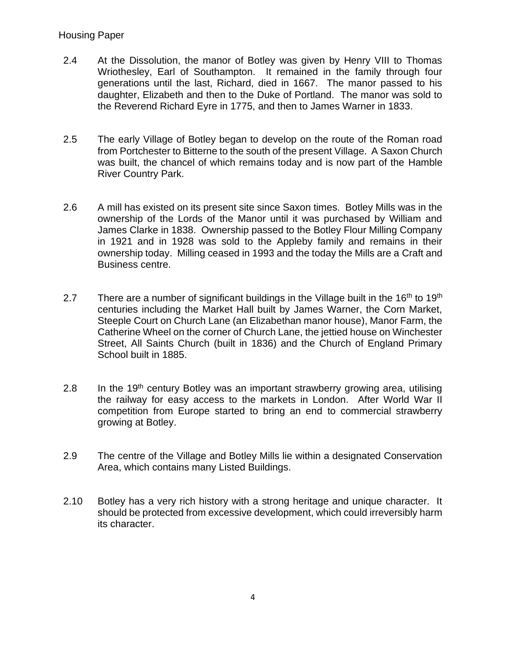- 2.4 At the Dissolution, the manor of Botley was given by Henry VIII to Thomas Wriothesley, Earl of Southampton. It remained in the family through four generations until the last, Richard, died in 1667. The manor passed to his daughter, Elizabeth and then to the Duke of Portland. The manor was sold to the Reverend Richard Eyre in 1775, and then to James Warner in 1833.
- 2.5 The early Village of Botley began to develop on the route of the Roman road from Portchester to Bitterne to the south of the present Village. A Saxon Church was built, the chancel of which remains today and is now part of the Hamble River Country Park.
- 2.6 A mill has existed on its present site since Saxon times. Botley Mills was in the ownership of the Lords of the Manor until it was purchased by William and James Clarke in 1838. Ownership passed to the Botley Flour Milling Company in 1921 and in 1928 was sold to the Appleby family and remains in their ownership today. Milling ceased in 1993 and the today the Mills are a Craft and Business centre.
- 2.7 There are a number of significant buildings in the Village built in the  $16<sup>th</sup>$  to  $19<sup>th</sup>$ centuries including the Market Hall built by James Warner, the Corn Market, Steeple Court on Church Lane (an Elizabethan manor house), Manor Farm, the Catherine Wheel on the corner of Church Lane, the jettied house on Winchester Street, All Saints Church (built in 1836) and the Church of England Primary School built in 1885.
- 2.8 In the 19<sup>th</sup> century Botley was an important strawberry growing area, utilising the railway for easy access to the markets in London. After World War II competition from Europe started to bring an end to commercial strawberry growing at Botley.
- 2.9 The centre of the Village and Botley Mills lie within a designated Conservation Area, which contains many Listed Buildings.
- 2.10 Botley has a very rich history with a strong heritage and unique character. It should be protected from excessive development, which could irreversibly harm its character.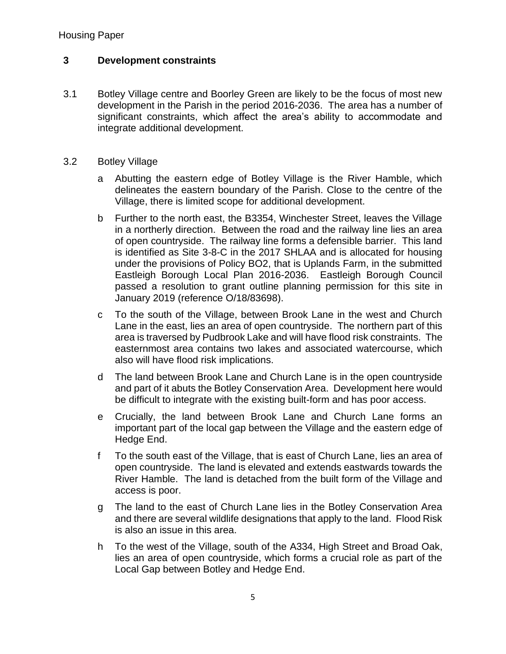# **3 Development constraints**

- 3.1 Botley Village centre and Boorley Green are likely to be the focus of most new development in the Parish in the period 2016-2036. The area has a number of significant constraints, which affect the area's ability to accommodate and integrate additional development.
- 3.2 Botley Village
	- a Abutting the eastern edge of Botley Village is the River Hamble, which delineates the eastern boundary of the Parish. Close to the centre of the Village, there is limited scope for additional development.
	- b Further to the north east, the B3354, Winchester Street, leaves the Village in a northerly direction. Between the road and the railway line lies an area of open countryside. The railway line forms a defensible barrier. This land is identified as Site 3-8-C in the 2017 SHLAA and is allocated for housing under the provisions of Policy BO2, that is Uplands Farm, in the submitted Eastleigh Borough Local Plan 2016-2036. Eastleigh Borough Council passed a resolution to grant outline planning permission for this site in January 2019 (reference O/18/83698).
	- c To the south of the Village, between Brook Lane in the west and Church Lane in the east, lies an area of open countryside. The northern part of this area is traversed by Pudbrook Lake and will have flood risk constraints. The easternmost area contains two lakes and associated watercourse, which also will have flood risk implications.
	- d The land between Brook Lane and Church Lane is in the open countryside and part of it abuts the Botley Conservation Area. Development here would be difficult to integrate with the existing built-form and has poor access.
	- e Crucially, the land between Brook Lane and Church Lane forms an important part of the local gap between the Village and the eastern edge of Hedge End.
	- f To the south east of the Village, that is east of Church Lane, lies an area of open countryside. The land is elevated and extends eastwards towards the River Hamble. The land is detached from the built form of the Village and access is poor.
	- g The land to the east of Church Lane lies in the Botley Conservation Area and there are several wildlife designations that apply to the land. Flood Risk is also an issue in this area.
	- h To the west of the Village, south of the A334, High Street and Broad Oak, lies an area of open countryside, which forms a crucial role as part of the Local Gap between Botley and Hedge End.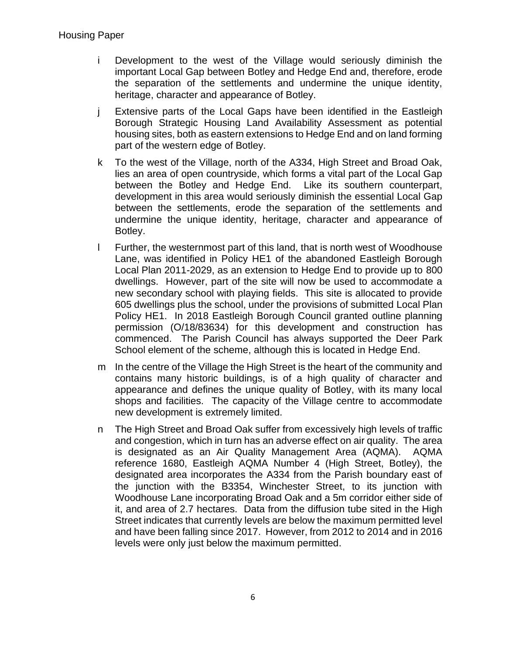- i Development to the west of the Village would seriously diminish the important Local Gap between Botley and Hedge End and, therefore, erode the separation of the settlements and undermine the unique identity, heritage, character and appearance of Botley.
- j Extensive parts of the Local Gaps have been identified in the Eastleigh Borough Strategic Housing Land Availability Assessment as potential housing sites, both as eastern extensions to Hedge End and on land forming part of the western edge of Botley.
- k To the west of the Village, north of the A334, High Street and Broad Oak, lies an area of open countryside, which forms a vital part of the Local Gap between the Botley and Hedge End. Like its southern counterpart, development in this area would seriously diminish the essential Local Gap between the settlements, erode the separation of the settlements and undermine the unique identity, heritage, character and appearance of Botley.
- l Further, the westernmost part of this land, that is north west of Woodhouse Lane, was identified in Policy HE1 of the abandoned Eastleigh Borough Local Plan 2011-2029, as an extension to Hedge End to provide up to 800 dwellings. However, part of the site will now be used to accommodate a new secondary school with playing fields. This site is allocated to provide 605 dwellings plus the school, under the provisions of submitted Local Plan Policy HE1. In 2018 Eastleigh Borough Council granted outline planning permission (O/18/83634) for this development and construction has commenced. The Parish Council has always supported the Deer Park School element of the scheme, although this is located in Hedge End.
- m In the centre of the Village the High Street is the heart of the community and contains many historic buildings, is of a high quality of character and appearance and defines the unique quality of Botley, with its many local shops and facilities. The capacity of the Village centre to accommodate new development is extremely limited.
- n The High Street and Broad Oak suffer from excessively high levels of traffic and congestion, which in turn has an adverse effect on air quality. The area is designated as an Air Quality Management Area (AQMA). AQMA reference 1680, Eastleigh AQMA Number 4 (High Street, Botley), the designated area incorporates the A334 from the Parish boundary east of the junction with the B3354, Winchester Street, to its junction with Woodhouse Lane incorporating Broad Oak and a 5m corridor either side of it, and area of 2.7 hectares. Data from the diffusion tube sited in the High Street indicates that currently levels are below the maximum permitted level and have been falling since 2017. However, from 2012 to 2014 and in 2016 levels were only just below the maximum permitted.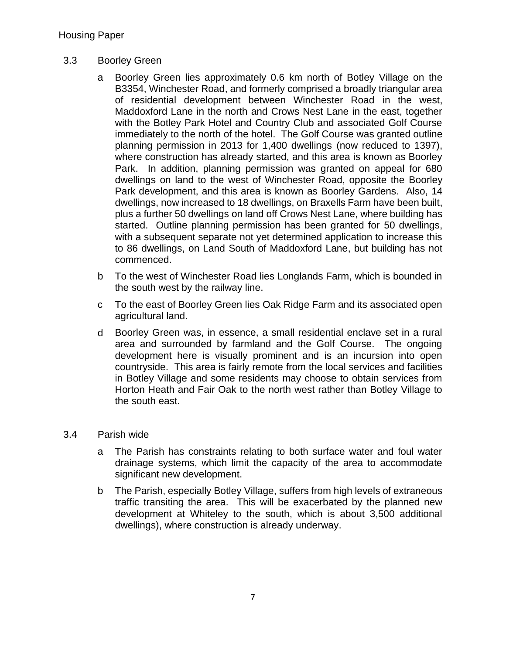- 3.3 Boorley Green
	- a Boorley Green lies approximately 0.6 km north of Botley Village on the B3354, Winchester Road, and formerly comprised a broadly triangular area of residential development between Winchester Road in the west, Maddoxford Lane in the north and Crows Nest Lane in the east, together with the Botley Park Hotel and Country Club and associated Golf Course immediately to the north of the hotel. The Golf Course was granted outline planning permission in 2013 for 1,400 dwellings (now reduced to 1397), where construction has already started, and this area is known as Boorley Park. In addition, planning permission was granted on appeal for 680 dwellings on land to the west of Winchester Road, opposite the Boorley Park development, and this area is known as Boorley Gardens. Also, 14 dwellings, now increased to 18 dwellings, on Braxells Farm have been built, plus a further 50 dwellings on land off Crows Nest Lane, where building has started. Outline planning permission has been granted for 50 dwellings, with a subsequent separate not yet determined application to increase this to 86 dwellings, on Land South of Maddoxford Lane, but building has not commenced.
	- b To the west of Winchester Road lies Longlands Farm, which is bounded in the south west by the railway line.
	- c To the east of Boorley Green lies Oak Ridge Farm and its associated open agricultural land.
	- d Boorley Green was, in essence, a small residential enclave set in a rural area and surrounded by farmland and the Golf Course. The ongoing development here is visually prominent and is an incursion into open countryside. This area is fairly remote from the local services and facilities in Botley Village and some residents may choose to obtain services from Horton Heath and Fair Oak to the north west rather than Botley Village to the south east.

## 3.4 Parish wide

- a The Parish has constraints relating to both surface water and foul water drainage systems, which limit the capacity of the area to accommodate significant new development.
- b The Parish, especially Botley Village, suffers from high levels of extraneous traffic transiting the area. This will be exacerbated by the planned new development at Whiteley to the south, which is about 3,500 additional dwellings), where construction is already underway.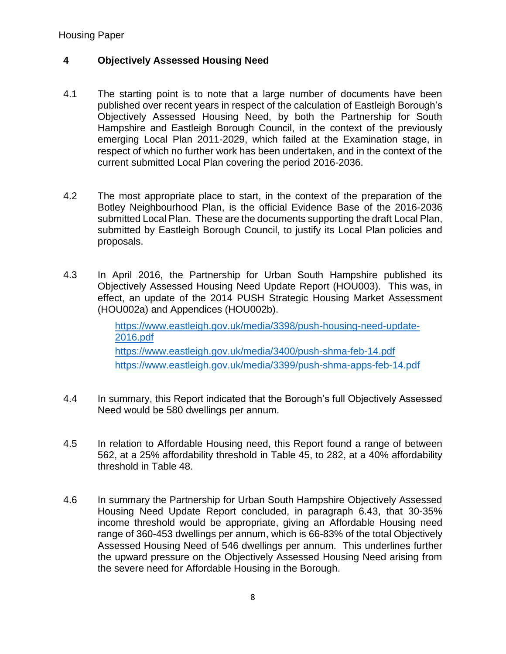# **4 Objectively Assessed Housing Need**

- 4.1 The starting point is to note that a large number of documents have been published over recent years in respect of the calculation of Eastleigh Borough's Objectively Assessed Housing Need, by both the Partnership for South Hampshire and Eastleigh Borough Council, in the context of the previously emerging Local Plan 2011-2029, which failed at the Examination stage, in respect of which no further work has been undertaken, and in the context of the current submitted Local Plan covering the period 2016-2036.
- 4.2 The most appropriate place to start, in the context of the preparation of the Botley Neighbourhood Plan, is the official Evidence Base of the 2016-2036 submitted Local Plan. These are the documents supporting the draft Local Plan, submitted by Eastleigh Borough Council, to justify its Local Plan policies and proposals.
- 4.3 In April 2016, the Partnership for Urban South Hampshire published its Objectively Assessed Housing Need Update Report (HOU003). This was, in effect, an update of the 2014 PUSH Strategic Housing Market Assessment (HOU002a) and Appendices (HOU002b).

[https://www.eastleigh.gov.uk/media/3398/push-housing-need-update-](https://www.eastleigh.gov.uk/media/3398/push-housing-need-update-2016.pdf)[2016.pdf](https://www.eastleigh.gov.uk/media/3398/push-housing-need-update-2016.pdf) <https://www.eastleigh.gov.uk/media/3400/push-shma-feb-14.pdf> <https://www.eastleigh.gov.uk/media/3399/push-shma-apps-feb-14.pdf>

- 4.4 In summary, this Report indicated that the Borough's full Objectively Assessed Need would be 580 dwellings per annum.
- 4.5 In relation to Affordable Housing need, this Report found a range of between 562, at a 25% affordability threshold in Table 45, to 282, at a 40% affordability threshold in Table 48.
- 4.6 In summary the Partnership for Urban South Hampshire Objectively Assessed Housing Need Update Report concluded, in paragraph 6.43, that 30-35% income threshold would be appropriate, giving an Affordable Housing need range of 360-453 dwellings per annum, which is 66-83% of the total Objectively Assessed Housing Need of 546 dwellings per annum. This underlines further the upward pressure on the Objectively Assessed Housing Need arising from the severe need for Affordable Housing in the Borough.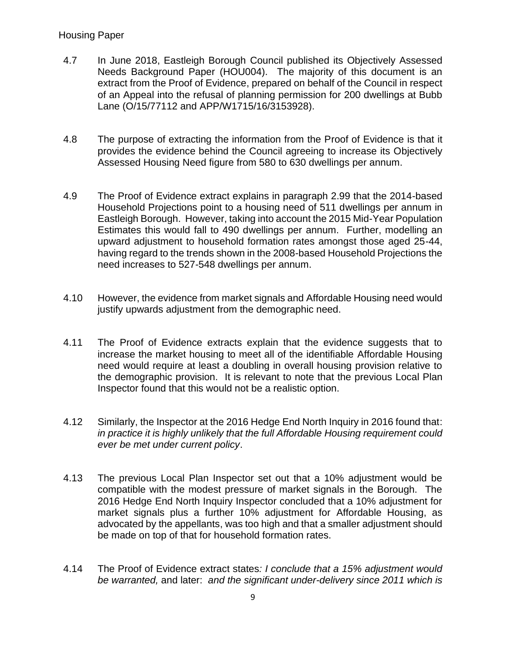- 4.7 In June 2018, Eastleigh Borough Council published its Objectively Assessed Needs Background Paper (HOU004). The majority of this document is an extract from the Proof of Evidence, prepared on behalf of the Council in respect of an Appeal into the refusal of planning permission for 200 dwellings at Bubb Lane (O/15/77112 and APP/W1715/16/3153928).
- 4.8 The purpose of extracting the information from the Proof of Evidence is that it provides the evidence behind the Council agreeing to increase its Objectively Assessed Housing Need figure from 580 to 630 dwellings per annum.
- 4.9 The Proof of Evidence extract explains in paragraph 2.99 that the 2014-based Household Projections point to a housing need of 511 dwellings per annum in Eastleigh Borough. However, taking into account the 2015 Mid-Year Population Estimates this would fall to 490 dwellings per annum. Further, modelling an upward adjustment to household formation rates amongst those aged 25-44, having regard to the trends shown in the 2008-based Household Projections the need increases to 527-548 dwellings per annum.
- 4.10 However, the evidence from market signals and Affordable Housing need would justify upwards adjustment from the demographic need.
- 4.11 The Proof of Evidence extracts explain that the evidence suggests that to increase the market housing to meet all of the identifiable Affordable Housing need would require at least a doubling in overall housing provision relative to the demographic provision. It is relevant to note that the previous Local Plan Inspector found that this would not be a realistic option.
- 4.12 Similarly, the Inspector at the 2016 Hedge End North Inquiry in 2016 found that: *in practice it is highly unlikely that the full Affordable Housing requirement could ever be met under current policy*.
- 4.13 The previous Local Plan Inspector set out that a 10% adjustment would be compatible with the modest pressure of market signals in the Borough. The 2016 Hedge End North Inquiry Inspector concluded that a 10% adjustment for market signals plus a further 10% adjustment for Affordable Housing, as advocated by the appellants, was too high and that a smaller adjustment should be made on top of that for household formation rates.
- 4.14 The Proof of Evidence extract states*: I conclude that a 15% adjustment would be warranted,* and later: *and the significant under-delivery since 2011 which is*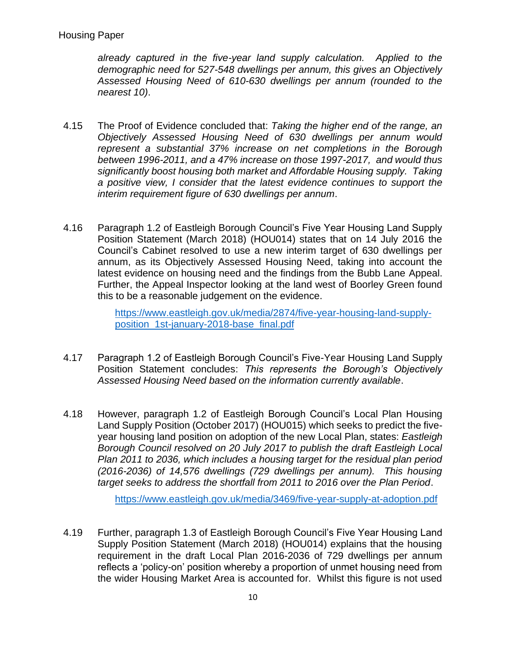*already captured in the five-year land supply calculation. Applied to the demographic need for 527-548 dwellings per annum, this gives an Objectively Assessed Housing Need of 610-630 dwellings per annum (rounded to the nearest 10)*.

- 4.15 The Proof of Evidence concluded that: *Taking the higher end of the range, an Objectively Assessed Housing Need of 630 dwellings per annum would represent a substantial 37% increase on net completions in the Borough between 1996-2011, and a 47% increase on those 1997-2017, and would thus significantly boost housing both market and Affordable Housing supply. Taking a positive view, I consider that the latest evidence continues to support the interim requirement figure of 630 dwellings per annum*.
- 4.16 Paragraph 1.2 of Eastleigh Borough Council's Five Year Housing Land Supply Position Statement (March 2018) (HOU014) states that on 14 July 2016 the Council's Cabinet resolved to use a new interim target of 630 dwellings per annum, as its Objectively Assessed Housing Need, taking into account the latest evidence on housing need and the findings from the Bubb Lane Appeal. Further, the Appeal Inspector looking at the land west of Boorley Green found this to be a reasonable judgement on the evidence.

[https://www.eastleigh.gov.uk/media/2874/five-year-housing-land-supply](https://www.eastleigh.gov.uk/media/2874/five-year-housing-land-supply-position_1st-january-2018-base_final.pdf)[position\\_1st-january-2018-base\\_final.pdf](https://www.eastleigh.gov.uk/media/2874/five-year-housing-land-supply-position_1st-january-2018-base_final.pdf)

- 4.17 Paragraph 1.2 of Eastleigh Borough Council's Five-Year Housing Land Supply Position Statement concludes: *This represents the Borough's Objectively Assessed Housing Need based on the information currently available*.
- 4.18 However, paragraph 1.2 of Eastleigh Borough Council's Local Plan Housing Land Supply Position (October 2017) (HOU015) which seeks to predict the fiveyear housing land position on adoption of the new Local Plan, states: *Eastleigh Borough Council resolved on 20 July 2017 to publish the draft Eastleigh Local Plan 2011 to 2036, which includes a housing target for the residual plan period (2016-2036) of 14,576 dwellings (729 dwellings per annum). This housing target seeks to address the shortfall from 2011 to 2016 over the Plan Period*.

<https://www.eastleigh.gov.uk/media/3469/five-year-supply-at-adoption.pdf>

4.19 Further, paragraph 1.3 of Eastleigh Borough Council's Five Year Housing Land Supply Position Statement (March 2018) (HOU014) explains that the housing requirement in the draft Local Plan 2016-2036 of 729 dwellings per annum reflects a 'policy-on' position whereby a proportion of unmet housing need from the wider Housing Market Area is accounted for. Whilst this figure is not used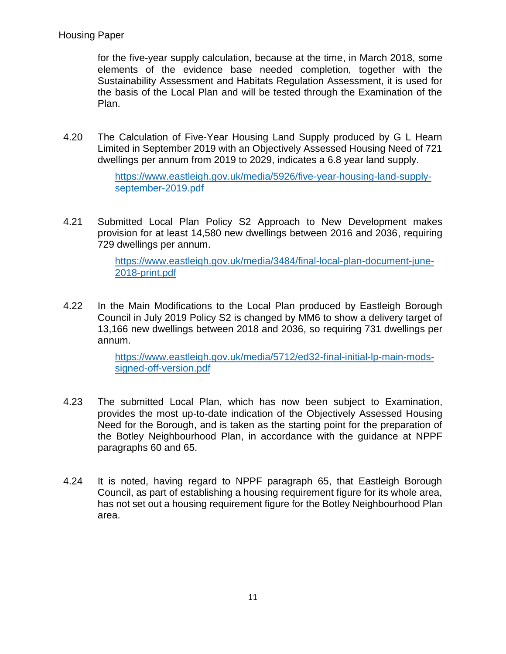for the five-year supply calculation, because at the time, in March 2018, some elements of the evidence base needed completion, together with the Sustainability Assessment and Habitats Regulation Assessment, it is used for the basis of the Local Plan and will be tested through the Examination of the Plan.

4.20 The Calculation of Five-Year Housing Land Supply produced by G L Hearn Limited in September 2019 with an Objectively Assessed Housing Need of 721 dwellings per annum from 2019 to 2029, indicates a 6.8 year land supply.

> [https://www.eastleigh.gov.uk/media/5926/five-year-housing-land-supply](https://www.eastleigh.gov.uk/media/5926/five-year-housing-land-supply-september-2019.pdf)[september-2019.pdf](https://www.eastleigh.gov.uk/media/5926/five-year-housing-land-supply-september-2019.pdf)

4.21 Submitted Local Plan Policy S2 Approach to New Development makes provision for at least 14,580 new dwellings between 2016 and 2036, requiring 729 dwellings per annum.

> [https://www.eastleigh.gov.uk/media/3484/final-local-plan-document-june-](https://www.eastleigh.gov.uk/media/3484/final-local-plan-document-june-2018-print.pdf)[2018-print.pdf](https://www.eastleigh.gov.uk/media/3484/final-local-plan-document-june-2018-print.pdf)

4.22 In the Main Modifications to the Local Plan produced by Eastleigh Borough Council in July 2019 Policy S2 is changed by MM6 to show a delivery target of 13,166 new dwellings between 2018 and 2036, so requiring 731 dwellings per annum.

> [https://www.eastleigh.gov.uk/media/5712/ed32-final-initial-lp-main-mods](https://www.eastleigh.gov.uk/media/5712/ed32-final-initial-lp-main-mods-signed-off-version.pdf)[signed-off-version.pdf](https://www.eastleigh.gov.uk/media/5712/ed32-final-initial-lp-main-mods-signed-off-version.pdf)

- 4.23 The submitted Local Plan, which has now been subject to Examination, provides the most up-to-date indication of the Objectively Assessed Housing Need for the Borough, and is taken as the starting point for the preparation of the Botley Neighbourhood Plan, in accordance with the guidance at NPPF paragraphs 60 and 65.
- 4.24 It is noted, having regard to NPPF paragraph 65, that Eastleigh Borough Council, as part of establishing a housing requirement figure for its whole area, has not set out a housing requirement figure for the Botley Neighbourhood Plan area.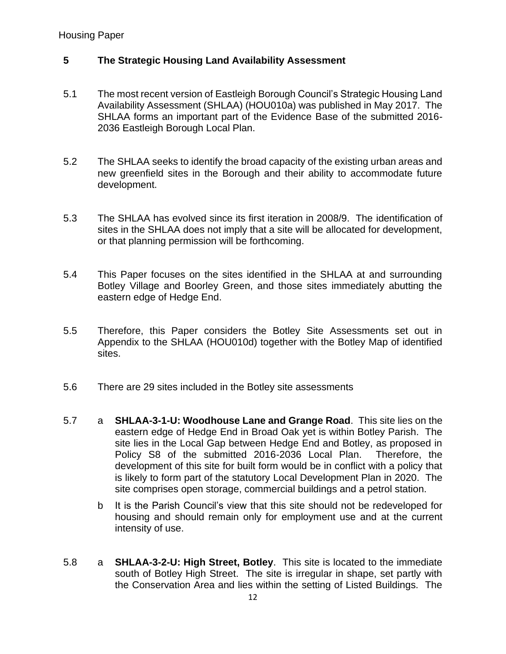## **5 The Strategic Housing Land Availability Assessment**

- 5.1 The most recent version of Eastleigh Borough Council's Strategic Housing Land Availability Assessment (SHLAA) (HOU010a) was published in May 2017. The SHLAA forms an important part of the Evidence Base of the submitted 2016- 2036 Eastleigh Borough Local Plan.
- 5.2 The SHLAA seeks to identify the broad capacity of the existing urban areas and new greenfield sites in the Borough and their ability to accommodate future development.
- 5.3 The SHLAA has evolved since its first iteration in 2008/9. The identification of sites in the SHLAA does not imply that a site will be allocated for development, or that planning permission will be forthcoming.
- 5.4 This Paper focuses on the sites identified in the SHLAA at and surrounding Botley Village and Boorley Green, and those sites immediately abutting the eastern edge of Hedge End.
- 5.5 Therefore, this Paper considers the Botley Site Assessments set out in Appendix to the SHLAA (HOU010d) together with the Botley Map of identified sites.
- 5.6 There are 29 sites included in the Botley site assessments
- 5.7 a **SHLAA-3-1-U: Woodhouse Lane and Grange Road**. This site lies on the eastern edge of Hedge End in Broad Oak yet is within Botley Parish. The site lies in the Local Gap between Hedge End and Botley, as proposed in Policy S8 of the submitted 2016-2036 Local Plan. Therefore, the development of this site for built form would be in conflict with a policy that is likely to form part of the statutory Local Development Plan in 2020. The site comprises open storage, commercial buildings and a petrol station.
	- b It is the Parish Council's view that this site should not be redeveloped for housing and should remain only for employment use and at the current intensity of use.
- 5.8 a **SHLAA-3-2-U: High Street, Botley**. This site is located to the immediate south of Botley High Street. The site is irregular in shape, set partly with the Conservation Area and lies within the setting of Listed Buildings. The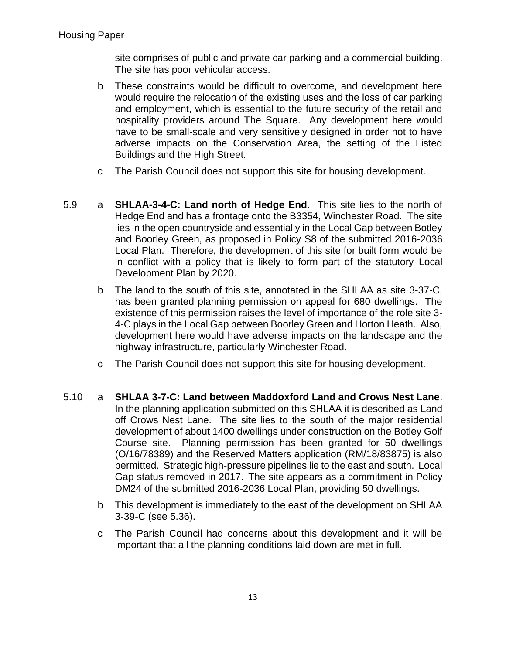site comprises of public and private car parking and a commercial building. The site has poor vehicular access.

- b These constraints would be difficult to overcome, and development here would require the relocation of the existing uses and the loss of car parking and employment, which is essential to the future security of the retail and hospitality providers around The Square. Any development here would have to be small-scale and very sensitively designed in order not to have adverse impacts on the Conservation Area, the setting of the Listed Buildings and the High Street.
- c The Parish Council does not support this site for housing development.
- 5.9 a **SHLAA-3-4-C: Land north of Hedge End**. This site lies to the north of Hedge End and has a frontage onto the B3354, Winchester Road. The site lies in the open countryside and essentially in the Local Gap between Botley and Boorley Green, as proposed in Policy S8 of the submitted 2016-2036 Local Plan. Therefore, the development of this site for built form would be in conflict with a policy that is likely to form part of the statutory Local Development Plan by 2020.
	- b The land to the south of this site, annotated in the SHLAA as site 3-37-C, has been granted planning permission on appeal for 680 dwellings. The existence of this permission raises the level of importance of the role site 3- 4-C plays in the Local Gap between Boorley Green and Horton Heath. Also, development here would have adverse impacts on the landscape and the highway infrastructure, particularly Winchester Road.
	- c The Parish Council does not support this site for housing development.
- 5.10 a **SHLAA 3-7-C: Land between Maddoxford Land and Crows Nest Lane**. In the planning application submitted on this SHLAA it is described as Land off Crows Nest Lane. The site lies to the south of the major residential development of about 1400 dwellings under construction on the Botley Golf Course site. Planning permission has been granted for 50 dwellings (O/16/78389) and the Reserved Matters application (RM/18/83875) is also permitted. Strategic high-pressure pipelines lie to the east and south. Local Gap status removed in 2017. The site appears as a commitment in Policy DM24 of the submitted 2016-2036 Local Plan, providing 50 dwellings.
	- b This development is immediately to the east of the development on SHLAA 3-39-C (see 5.36).
	- c The Parish Council had concerns about this development and it will be important that all the planning conditions laid down are met in full.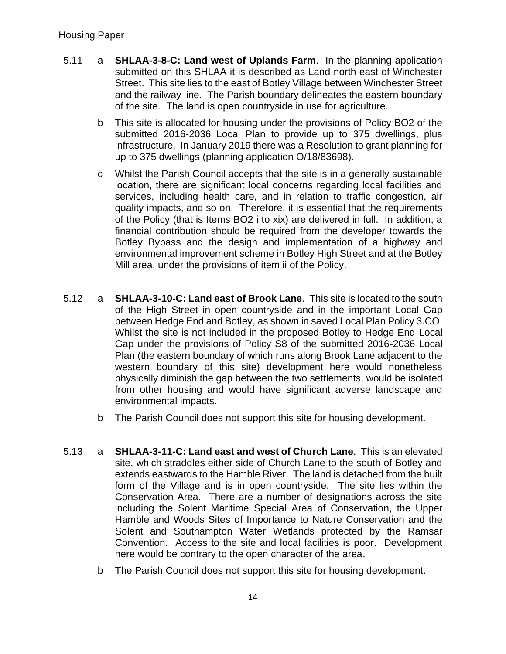- 5.11 a **SHLAA-3-8-C: Land west of Uplands Farm**. In the planning application submitted on this SHLAA it is described as Land north east of Winchester Street. This site lies to the east of Botley Village between Winchester Street and the railway line. The Parish boundary delineates the eastern boundary of the site. The land is open countryside in use for agriculture.
	- b This site is allocated for housing under the provisions of Policy BO2 of the submitted 2016-2036 Local Plan to provide up to 375 dwellings, plus infrastructure. In January 2019 there was a Resolution to grant planning for up to 375 dwellings (planning application O/18/83698).
	- c Whilst the Parish Council accepts that the site is in a generally sustainable location, there are significant local concerns regarding local facilities and services, including health care, and in relation to traffic congestion, air quality impacts, and so on. Therefore, it is essential that the requirements of the Policy (that is Items BO2 i to xix) are delivered in full. In addition, a financial contribution should be required from the developer towards the Botley Bypass and the design and implementation of a highway and environmental improvement scheme in Botley High Street and at the Botley Mill area, under the provisions of item ii of the Policy.
- 5.12 a **SHLAA-3-10-C: Land east of Brook Lane**. This site is located to the south of the High Street in open countryside and in the important Local Gap between Hedge End and Botley, as shown in saved Local Plan Policy 3.CO. Whilst the site is not included in the proposed Botley to Hedge End Local Gap under the provisions of Policy S8 of the submitted 2016-2036 Local Plan (the eastern boundary of which runs along Brook Lane adjacent to the western boundary of this site) development here would nonetheless physically diminish the gap between the two settlements, would be isolated from other housing and would have significant adverse landscape and environmental impacts.
	- b The Parish Council does not support this site for housing development.
- 5.13 a **SHLAA-3-11-C: Land east and west of Church Lane**. This is an elevated site, which straddles either side of Church Lane to the south of Botley and extends eastwards to the Hamble River. The land is detached from the built form of the Village and is in open countryside. The site lies within the Conservation Area. There are a number of designations across the site including the Solent Maritime Special Area of Conservation, the Upper Hamble and Woods Sites of Importance to Nature Conservation and the Solent and Southampton Water Wetlands protected by the Ramsar Convention. Access to the site and local facilities is poor. Development here would be contrary to the open character of the area.
	- b The Parish Council does not support this site for housing development.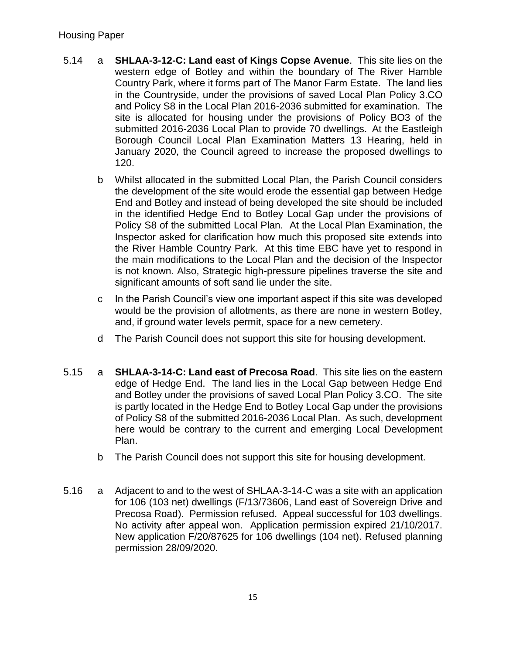- 5.14 a **SHLAA-3-12-C: Land east of Kings Copse Avenue**. This site lies on the western edge of Botley and within the boundary of The River Hamble Country Park, where it forms part of The Manor Farm Estate. The land lies in the Countryside, under the provisions of saved Local Plan Policy 3.CO and Policy S8 in the Local Plan 2016-2036 submitted for examination. The site is allocated for housing under the provisions of Policy BO3 of the submitted 2016-2036 Local Plan to provide 70 dwellings. At the Eastleigh Borough Council Local Plan Examination Matters 13 Hearing, held in January 2020, the Council agreed to increase the proposed dwellings to 120.
	- b Whilst allocated in the submitted Local Plan, the Parish Council considers the development of the site would erode the essential gap between Hedge End and Botley and instead of being developed the site should be included in the identified Hedge End to Botley Local Gap under the provisions of Policy S8 of the submitted Local Plan. At the Local Plan Examination, the Inspector asked for clarification how much this proposed site extends into the River Hamble Country Park. At this time EBC have yet to respond in the main modifications to the Local Plan and the decision of the Inspector is not known. Also, Strategic high-pressure pipelines traverse the site and significant amounts of soft sand lie under the site.
	- c In the Parish Council's view one important aspect if this site was developed would be the provision of allotments, as there are none in western Botley, and, if ground water levels permit, space for a new cemetery.
	- d The Parish Council does not support this site for housing development.
- 5.15 a **SHLAA-3-14-C: Land east of Precosa Road**. This site lies on the eastern edge of Hedge End. The land lies in the Local Gap between Hedge End and Botley under the provisions of saved Local Plan Policy 3.CO. The site is partly located in the Hedge End to Botley Local Gap under the provisions of Policy S8 of the submitted 2016-2036 Local Plan. As such, development here would be contrary to the current and emerging Local Development Plan.
	- b The Parish Council does not support this site for housing development.
- 5.16 a Adjacent to and to the west of SHLAA-3-14-C was a site with an application for 106 (103 net) dwellings (F/13/73606, Land east of Sovereign Drive and Precosa Road). Permission refused. Appeal successful for 103 dwellings. No activity after appeal won. Application permission expired 21/10/2017. New application F/20/87625 for 106 dwellings (104 net). Refused planning permission 28/09/2020.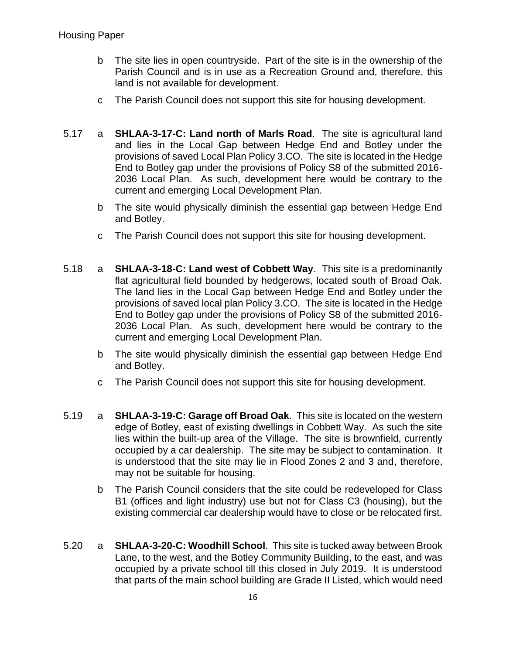- b The site lies in open countryside. Part of the site is in the ownership of the Parish Council and is in use as a Recreation Ground and, therefore, this land is not available for development.
- c The Parish Council does not support this site for housing development.
- 5.17 a **SHLAA-3-17-C: Land north of Marls Road**. The site is agricultural land and lies in the Local Gap between Hedge End and Botley under the provisions of saved Local Plan Policy 3.CO. The site is located in the Hedge End to Botley gap under the provisions of Policy S8 of the submitted 2016- 2036 Local Plan. As such, development here would be contrary to the current and emerging Local Development Plan.
	- b The site would physically diminish the essential gap between Hedge End and Botley.
	- c The Parish Council does not support this site for housing development.
- 5.18 a **SHLAA-3-18-C: Land west of Cobbett Way**. This site is a predominantly flat agricultural field bounded by hedgerows, located south of Broad Oak. The land lies in the Local Gap between Hedge End and Botley under the provisions of saved local plan Policy 3.CO. The site is located in the Hedge End to Botley gap under the provisions of Policy S8 of the submitted 2016- 2036 Local Plan. As such, development here would be contrary to the current and emerging Local Development Plan.
	- b The site would physically diminish the essential gap between Hedge End and Botley.
	- c The Parish Council does not support this site for housing development.
- 5.19 a **SHLAA-3-19-C: Garage off Broad Oak**. This site is located on the western edge of Botley, east of existing dwellings in Cobbett Way. As such the site lies within the built-up area of the Village. The site is brownfield, currently occupied by a car dealership. The site may be subject to contamination. It is understood that the site may lie in Flood Zones 2 and 3 and, therefore, may not be suitable for housing.
	- b The Parish Council considers that the site could be redeveloped for Class B1 (offices and light industry) use but not for Class C3 (housing), but the existing commercial car dealership would have to close or be relocated first.
- 5.20 a **SHLAA-3-20-C: Woodhill School**. This site is tucked away between Brook Lane, to the west, and the Botley Community Building, to the east, and was occupied by a private school till this closed in July 2019. It is understood that parts of the main school building are Grade II Listed, which would need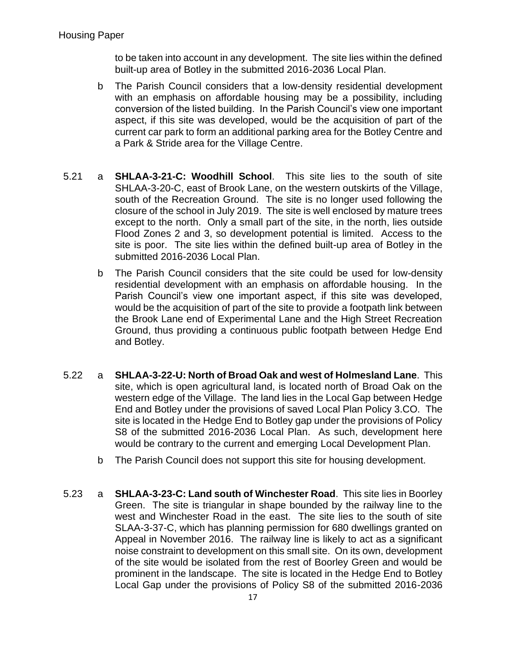to be taken into account in any development. The site lies within the defined built-up area of Botley in the submitted 2016-2036 Local Plan.

- b The Parish Council considers that a low-density residential development with an emphasis on affordable housing may be a possibility, including conversion of the listed building. In the Parish Council's view one important aspect, if this site was developed, would be the acquisition of part of the current car park to form an additional parking area for the Botley Centre and a Park & Stride area for the Village Centre.
- 5.21 a **SHLAA-3-21-C: Woodhill School**. This site lies to the south of site SHLAA-3-20-C, east of Brook Lane, on the western outskirts of the Village, south of the Recreation Ground. The site is no longer used following the closure of the school in July 2019. The site is well enclosed by mature trees except to the north. Only a small part of the site, in the north, lies outside Flood Zones 2 and 3, so development potential is limited. Access to the site is poor. The site lies within the defined built-up area of Botley in the submitted 2016-2036 Local Plan.
	- b The Parish Council considers that the site could be used for low-density residential development with an emphasis on affordable housing. In the Parish Council's view one important aspect, if this site was developed, would be the acquisition of part of the site to provide a footpath link between the Brook Lane end of Experimental Lane and the High Street Recreation Ground, thus providing a continuous public footpath between Hedge End and Botley.
- 5.22 a **SHLAA-3-22-U: North of Broad Oak and west of Holmesland Lane**. This site, which is open agricultural land, is located north of Broad Oak on the western edge of the Village. The land lies in the Local Gap between Hedge End and Botley under the provisions of saved Local Plan Policy 3.CO. The site is located in the Hedge End to Botley gap under the provisions of Policy S8 of the submitted 2016-2036 Local Plan. As such, development here would be contrary to the current and emerging Local Development Plan.
	- b The Parish Council does not support this site for housing development.
- 5.23 a **SHLAA-3-23-C: Land south of Winchester Road**. This site lies in Boorley Green. The site is triangular in shape bounded by the railway line to the west and Winchester Road in the east. The site lies to the south of site SLAA-3-37-C, which has planning permission for 680 dwellings granted on Appeal in November 2016. The railway line is likely to act as a significant noise constraint to development on this small site. On its own, development of the site would be isolated from the rest of Boorley Green and would be prominent in the landscape. The site is located in the Hedge End to Botley Local Gap under the provisions of Policy S8 of the submitted 2016-2036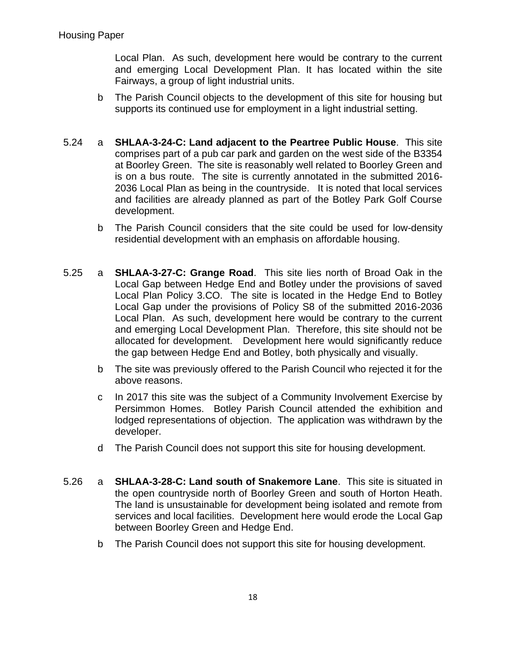Local Plan. As such, development here would be contrary to the current and emerging Local Development Plan. It has located within the site Fairways, a group of light industrial units.

- b The Parish Council objects to the development of this site for housing but supports its continued use for employment in a light industrial setting.
- 5.24 a **SHLAA-3-24-C: Land adjacent to the Peartree Public House**. This site comprises part of a pub car park and garden on the west side of the B3354 at Boorley Green. The site is reasonably well related to Boorley Green and is on a bus route. The site is currently annotated in the submitted 2016- 2036 Local Plan as being in the countryside. It is noted that local services and facilities are already planned as part of the Botley Park Golf Course development.
	- b The Parish Council considers that the site could be used for low-density residential development with an emphasis on affordable housing.
- 5.25 a **SHLAA-3-27-C: Grange Road**. This site lies north of Broad Oak in the Local Gap between Hedge End and Botley under the provisions of saved Local Plan Policy 3.CO. The site is located in the Hedge End to Botley Local Gap under the provisions of Policy S8 of the submitted 2016-2036 Local Plan. As such, development here would be contrary to the current and emerging Local Development Plan. Therefore, this site should not be allocated for development. Development here would significantly reduce the gap between Hedge End and Botley, both physically and visually.
	- b The site was previously offered to the Parish Council who rejected it for the above reasons.
	- c In 2017 this site was the subject of a Community Involvement Exercise by Persimmon Homes. Botley Parish Council attended the exhibition and lodged representations of objection. The application was withdrawn by the developer.
	- d The Parish Council does not support this site for housing development.
- 5.26 a **SHLAA-3-28-C: Land south of Snakemore Lane**. This site is situated in the open countryside north of Boorley Green and south of Horton Heath. The land is unsustainable for development being isolated and remote from services and local facilities. Development here would erode the Local Gap between Boorley Green and Hedge End.
	- b The Parish Council does not support this site for housing development.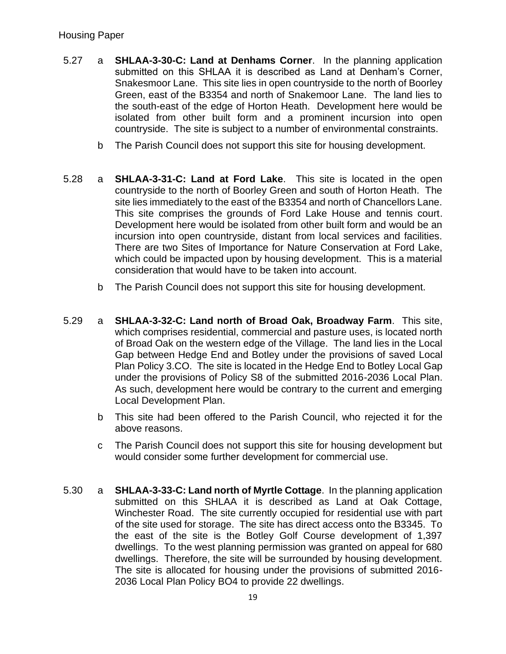- 5.27 a **SHLAA-3-30-C: Land at Denhams Corner**. In the planning application submitted on this SHLAA it is described as Land at Denham's Corner, Snakesmoor Lane. This site lies in open countryside to the north of Boorley Green, east of the B3354 and north of Snakemoor Lane. The land lies to the south-east of the edge of Horton Heath. Development here would be isolated from other built form and a prominent incursion into open countryside. The site is subject to a number of environmental constraints.
	- b The Parish Council does not support this site for housing development.
- 5.28 a **SHLAA-3-31-C: Land at Ford Lake**. This site is located in the open countryside to the north of Boorley Green and south of Horton Heath. The site lies immediately to the east of the B3354 and north of Chancellors Lane. This site comprises the grounds of Ford Lake House and tennis court. Development here would be isolated from other built form and would be an incursion into open countryside, distant from local services and facilities. There are two Sites of Importance for Nature Conservation at Ford Lake, which could be impacted upon by housing development. This is a material consideration that would have to be taken into account.
	- b The Parish Council does not support this site for housing development.
- 5.29 a **SHLAA-3-32-C: Land north of Broad Oak, Broadway Farm**. This site, which comprises residential, commercial and pasture uses, is located north of Broad Oak on the western edge of the Village. The land lies in the Local Gap between Hedge End and Botley under the provisions of saved Local Plan Policy 3.CO. The site is located in the Hedge End to Botley Local Gap under the provisions of Policy S8 of the submitted 2016-2036 Local Plan. As such, development here would be contrary to the current and emerging Local Development Plan.
	- b This site had been offered to the Parish Council, who rejected it for the above reasons.
	- c The Parish Council does not support this site for housing development but would consider some further development for commercial use.
- 5.30 a **SHLAA-3-33-C: Land north of Myrtle Cottage**. In the planning application submitted on this SHLAA it is described as Land at Oak Cottage, Winchester Road. The site currently occupied for residential use with part of the site used for storage. The site has direct access onto the B3345. To the east of the site is the Botley Golf Course development of 1,397 dwellings. To the west planning permission was granted on appeal for 680 dwellings. Therefore, the site will be surrounded by housing development. The site is allocated for housing under the provisions of submitted 2016- 2036 Local Plan Policy BO4 to provide 22 dwellings.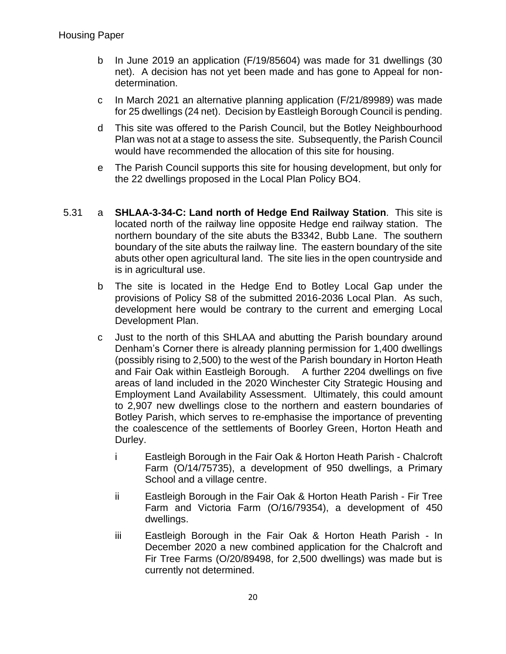- b In June 2019 an application (F/19/85604) was made for 31 dwellings (30 net). A decision has not yet been made and has gone to Appeal for nondetermination.
- c In March 2021 an alternative planning application (F/21/89989) was made for 25 dwellings (24 net). Decision by Eastleigh Borough Council is pending.
- d This site was offered to the Parish Council, but the Botley Neighbourhood Plan was not at a stage to assess the site. Subsequently, the Parish Council would have recommended the allocation of this site for housing.
- e The Parish Council supports this site for housing development, but only for the 22 dwellings proposed in the Local Plan Policy BO4.
- 5.31 a **SHLAA-3-34-C: Land north of Hedge End Railway Station**. This site is located north of the railway line opposite Hedge end railway station. The northern boundary of the site abuts the B3342, Bubb Lane. The southern boundary of the site abuts the railway line. The eastern boundary of the site abuts other open agricultural land. The site lies in the open countryside and is in agricultural use.
	- b The site is located in the Hedge End to Botley Local Gap under the provisions of Policy S8 of the submitted 2016-2036 Local Plan. As such, development here would be contrary to the current and emerging Local Development Plan.
	- c Just to the north of this SHLAA and abutting the Parish boundary around Denham's Corner there is already planning permission for 1,400 dwellings (possibly rising to 2,500) to the west of the Parish boundary in Horton Heath and Fair Oak within Eastleigh Borough. A further 2204 dwellings on five areas of land included in the 2020 Winchester City Strategic Housing and Employment Land Availability Assessment. Ultimately, this could amount to 2,907 new dwellings close to the northern and eastern boundaries of Botley Parish, which serves to re-emphasise the importance of preventing the coalescence of the settlements of Boorley Green, Horton Heath and Durley.
		- i Eastleigh Borough in the Fair Oak & Horton Heath Parish Chalcroft Farm (O/14/75735), a development of 950 dwellings, a Primary School and a village centre.
		- ii Eastleigh Borough in the Fair Oak & Horton Heath Parish Fir Tree Farm and Victoria Farm (O/16/79354), a development of 450 dwellings.
		- iii Eastleigh Borough in the Fair Oak & Horton Heath Parish In December 2020 a new combined application for the Chalcroft and Fir Tree Farms (O/20/89498, for 2,500 dwellings) was made but is currently not determined.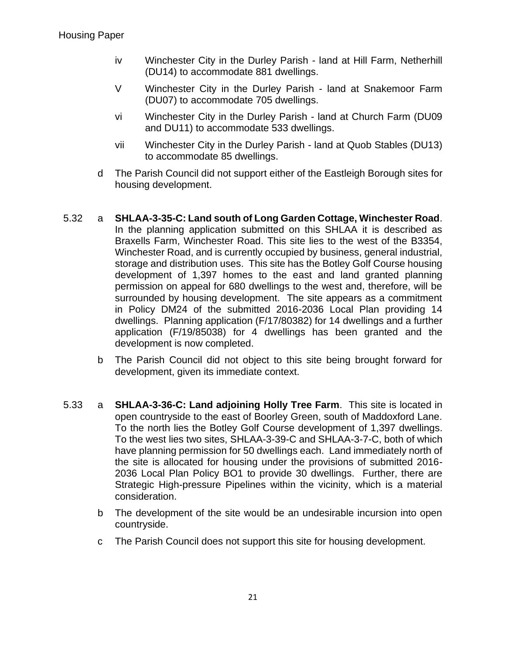- iv Winchester City in the Durley Parish land at Hill Farm, Netherhill (DU14) to accommodate 881 dwellings.
- V Winchester City in the Durley Parish land at Snakemoor Farm (DU07) to accommodate 705 dwellings.
- vi Winchester City in the Durley Parish land at Church Farm (DU09 and DU11) to accommodate 533 dwellings.
- vii Winchester City in the Durley Parish land at Quob Stables (DU13) to accommodate 85 dwellings.
- d The Parish Council did not support either of the Eastleigh Borough sites for housing development.
- 5.32 a **SHLAA-3-35-C: Land south of Long Garden Cottage, Winchester Road**. In the planning application submitted on this SHLAA it is described as Braxells Farm, Winchester Road. This site lies to the west of the B3354, Winchester Road, and is currently occupied by business, general industrial, storage and distribution uses. This site has the Botley Golf Course housing development of 1,397 homes to the east and land granted planning permission on appeal for 680 dwellings to the west and, therefore, will be surrounded by housing development. The site appears as a commitment in Policy DM24 of the submitted 2016-2036 Local Plan providing 14 dwellings. Planning application (F/17/80382) for 14 dwellings and a further application (F/19/85038) for 4 dwellings has been granted and the development is now completed.
	- b The Parish Council did not object to this site being brought forward for development, given its immediate context.
- 5.33 a **SHLAA-3-36-C: Land adjoining Holly Tree Farm**. This site is located in open countryside to the east of Boorley Green, south of Maddoxford Lane. To the north lies the Botley Golf Course development of 1,397 dwellings. To the west lies two sites, SHLAA-3-39-C and SHLAA-3-7-C, both of which have planning permission for 50 dwellings each. Land immediately north of the site is allocated for housing under the provisions of submitted 2016- 2036 Local Plan Policy BO1 to provide 30 dwellings. Further, there are Strategic High-pressure Pipelines within the vicinity, which is a material consideration.
	- b The development of the site would be an undesirable incursion into open countryside.
	- c The Parish Council does not support this site for housing development.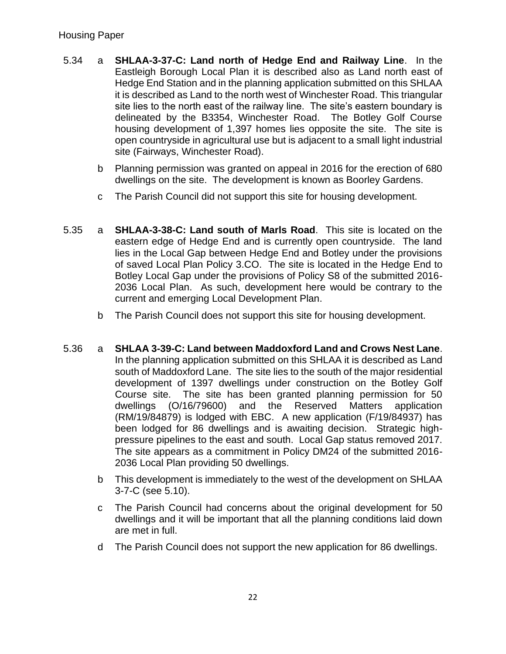- 5.34 a **SHLAA-3-37-C: Land north of Hedge End and Railway Line**. In the Eastleigh Borough Local Plan it is described also as Land north east of Hedge End Station and in the planning application submitted on this SHLAA it is described as Land to the north west of Winchester Road. This triangular site lies to the north east of the railway line. The site's eastern boundary is delineated by the B3354, Winchester Road. The Botley Golf Course housing development of 1,397 homes lies opposite the site. The site is open countryside in agricultural use but is adjacent to a small light industrial site (Fairways, Winchester Road).
	- b Planning permission was granted on appeal in 2016 for the erection of 680 dwellings on the site. The development is known as Boorley Gardens.
	- c The Parish Council did not support this site for housing development.
- 5.35 a **SHLAA-3-38-C: Land south of Marls Road**. This site is located on the eastern edge of Hedge End and is currently open countryside. The land lies in the Local Gap between Hedge End and Botley under the provisions of saved Local Plan Policy 3.CO. The site is located in the Hedge End to Botley Local Gap under the provisions of Policy S8 of the submitted 2016- 2036 Local Plan. As such, development here would be contrary to the current and emerging Local Development Plan.
	- b The Parish Council does not support this site for housing development.
- 5.36 a **SHLAA 3-39-C: Land between Maddoxford Land and Crows Nest Lane**. In the planning application submitted on this SHLAA it is described as Land south of Maddoxford Lane. The site lies to the south of the major residential development of 1397 dwellings under construction on the Botley Golf Course site. The site has been granted planning permission for 50 dwellings (O/16/79600) and the Reserved Matters application (RM/19/84879) is lodged with EBC. A new application (F/19/84937) has been lodged for 86 dwellings and is awaiting decision. Strategic highpressure pipelines to the east and south. Local Gap status removed 2017. The site appears as a commitment in Policy DM24 of the submitted 2016- 2036 Local Plan providing 50 dwellings.
	- b This development is immediately to the west of the development on SHLAA 3-7-C (see 5.10).
	- c The Parish Council had concerns about the original development for 50 dwellings and it will be important that all the planning conditions laid down are met in full.
	- d The Parish Council does not support the new application for 86 dwellings.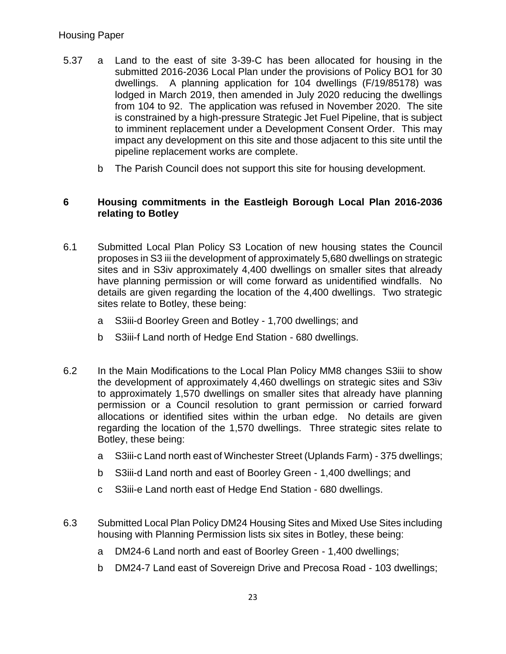- 5.37 a Land to the east of site 3-39-C has been allocated for housing in the submitted 2016-2036 Local Plan under the provisions of Policy BO1 for 30 dwellings. A planning application for 104 dwellings (F/19/85178) was lodged in March 2019, then amended in July 2020 reducing the dwellings from 104 to 92. The application was refused in November 2020. The site is constrained by a high-pressure Strategic Jet Fuel Pipeline, that is subject to imminent replacement under a Development Consent Order. This may impact any development on this site and those adjacent to this site until the pipeline replacement works are complete.
	- b The Parish Council does not support this site for housing development.

## **6 Housing commitments in the Eastleigh Borough Local Plan 2016-2036 relating to Botley**

- 6.1 Submitted Local Plan Policy S3 Location of new housing states the Council proposes in S3 iii the development of approximately 5,680 dwellings on strategic sites and in S3iv approximately 4,400 dwellings on smaller sites that already have planning permission or will come forward as unidentified windfalls. No details are given regarding the location of the 4,400 dwellings. Two strategic sites relate to Botley, these being:
	- a S3iii-d Boorley Green and Botley 1,700 dwellings; and
	- b S3iii-f Land north of Hedge End Station 680 dwellings.
- 6.2 In the Main Modifications to the Local Plan Policy MM8 changes S3iii to show the development of approximately 4,460 dwellings on strategic sites and S3iv to approximately 1,570 dwellings on smaller sites that already have planning permission or a Council resolution to grant permission or carried forward allocations or identified sites within the urban edge. No details are given regarding the location of the 1,570 dwellings. Three strategic sites relate to Botley, these being:
	- a S3iii-c Land north east of Winchester Street (Uplands Farm) 375 dwellings;
	- b S3iii-d Land north and east of Boorley Green 1,400 dwellings; and
	- c S3iii-e Land north east of Hedge End Station 680 dwellings.
- 6.3 Submitted Local Plan Policy DM24 Housing Sites and Mixed Use Sites including housing with Planning Permission lists six sites in Botley, these being:
	- a DM24-6 Land north and east of Boorley Green 1,400 dwellings;
	- b DM24-7 Land east of Sovereign Drive and Precosa Road 103 dwellings;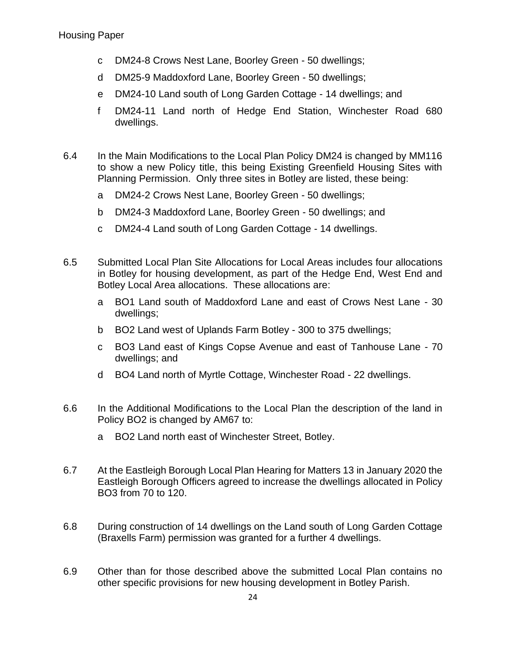- c DM24-8 Crows Nest Lane, Boorley Green 50 dwellings;
- d DM25-9 Maddoxford Lane, Boorley Green 50 dwellings;
- e DM24-10 Land south of Long Garden Cottage 14 dwellings; and
- f DM24-11 Land north of Hedge End Station, Winchester Road 680 dwellings.
- 6.4 In the Main Modifications to the Local Plan Policy DM24 is changed by MM116 to show a new Policy title, this being Existing Greenfield Housing Sites with Planning Permission. Only three sites in Botley are listed, these being:
	- a DM24-2 Crows Nest Lane, Boorley Green 50 dwellings;
	- b DM24-3 Maddoxford Lane, Boorley Green 50 dwellings; and
	- c DM24-4 Land south of Long Garden Cottage 14 dwellings.
- 6.5 Submitted Local Plan Site Allocations for Local Areas includes four allocations in Botley for housing development, as part of the Hedge End, West End and Botley Local Area allocations. These allocations are:
	- a BO1 Land south of Maddoxford Lane and east of Crows Nest Lane 30 dwellings;
	- b BO2 Land west of Uplands Farm Botley 300 to 375 dwellings;
	- c BO3 Land east of Kings Copse Avenue and east of Tanhouse Lane 70 dwellings; and
	- d BO4 Land north of Myrtle Cottage, Winchester Road 22 dwellings.
- 6.6 In the Additional Modifications to the Local Plan the description of the land in Policy BO2 is changed by AM67 to:
	- a BO2 Land north east of Winchester Street, Botley.
- 6.7 At the Eastleigh Borough Local Plan Hearing for Matters 13 in January 2020 the Eastleigh Borough Officers agreed to increase the dwellings allocated in Policy BO3 from 70 to 120.
- 6.8 During construction of 14 dwellings on the Land south of Long Garden Cottage (Braxells Farm) permission was granted for a further 4 dwellings.
- 6.9 Other than for those described above the submitted Local Plan contains no other specific provisions for new housing development in Botley Parish.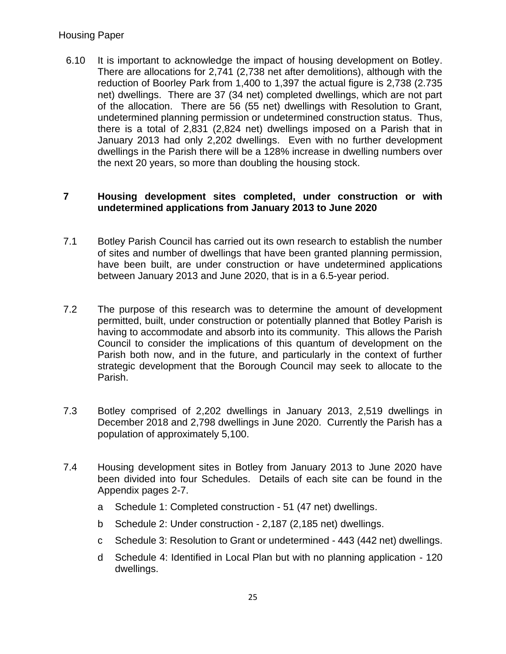6.10 It is important to acknowledge the impact of housing development on Botley. There are allocations for 2,741 (2,738 net after demolitions), although with the reduction of Boorley Park from 1,400 to 1,397 the actual figure is 2,738 (2.735 net) dwellings. There are 37 (34 net) completed dwellings, which are not part of the allocation. There are 56 (55 net) dwellings with Resolution to Grant, undetermined planning permission or undetermined construction status. Thus, there is a total of 2,831 (2,824 net) dwellings imposed on a Parish that in January 2013 had only 2,202 dwellings. Even with no further development dwellings in the Parish there will be a 128% increase in dwelling numbers over the next 20 years, so more than doubling the housing stock.

## **7 Housing development sites completed, under construction or with undetermined applications from January 2013 to June 2020**

- 7.1 Botley Parish Council has carried out its own research to establish the number of sites and number of dwellings that have been granted planning permission, have been built, are under construction or have undetermined applications between January 2013 and June 2020, that is in a 6.5-year period.
- 7.2 The purpose of this research was to determine the amount of development permitted, built, under construction or potentially planned that Botley Parish is having to accommodate and absorb into its community. This allows the Parish Council to consider the implications of this quantum of development on the Parish both now, and in the future, and particularly in the context of further strategic development that the Borough Council may seek to allocate to the Parish.
- 7.3 Botley comprised of 2,202 dwellings in January 2013, 2,519 dwellings in December 2018 and 2,798 dwellings in June 2020. Currently the Parish has a population of approximately 5,100.
- 7.4 Housing development sites in Botley from January 2013 to June 2020 have been divided into four Schedules. Details of each site can be found in the Appendix pages 2-7.
	- a Schedule 1: Completed construction 51 (47 net) dwellings.
	- b Schedule 2: Under construction 2,187 (2,185 net) dwellings.
	- c Schedule 3: Resolution to Grant or undetermined 443 (442 net) dwellings.
	- d Schedule 4: Identified in Local Plan but with no planning application 120 dwellings.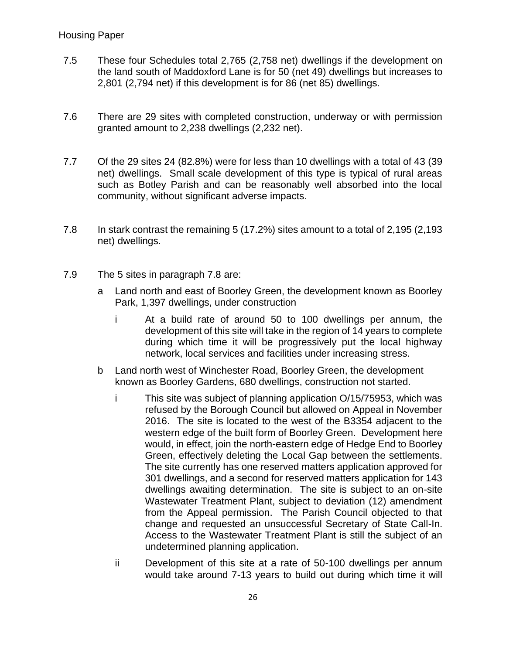- 7.5 These four Schedules total 2,765 (2,758 net) dwellings if the development on the land south of Maddoxford Lane is for 50 (net 49) dwellings but increases to 2,801 (2,794 net) if this development is for 86 (net 85) dwellings.
- 7.6 There are 29 sites with completed construction, underway or with permission granted amount to 2,238 dwellings (2,232 net).
- 7.7 Of the 29 sites 24 (82.8%) were for less than 10 dwellings with a total of 43 (39 net) dwellings. Small scale development of this type is typical of rural areas such as Botley Parish and can be reasonably well absorbed into the local community, without significant adverse impacts.
- 7.8 In stark contrast the remaining 5 (17.2%) sites amount to a total of 2,195 (2,193 net) dwellings.
- 7.9 The 5 sites in paragraph 7.8 are:
	- a Land north and east of Boorley Green, the development known as Boorley Park, 1,397 dwellings, under construction
		- i At a build rate of around 50 to 100 dwellings per annum, the development of this site will take in the region of 14 years to complete during which time it will be progressively put the local highway network, local services and facilities under increasing stress.
	- b Land north west of Winchester Road, Boorley Green, the development known as Boorley Gardens, 680 dwellings, construction not started.
		- i This site was subject of planning application O/15/75953, which was refused by the Borough Council but allowed on Appeal in November 2016. The site is located to the west of the B3354 adjacent to the western edge of the built form of Boorley Green. Development here would, in effect, join the north-eastern edge of Hedge End to Boorley Green, effectively deleting the Local Gap between the settlements. The site currently has one reserved matters application approved for 301 dwellings, and a second for reserved matters application for 143 dwellings awaiting determination. The site is subject to an on-site Wastewater Treatment Plant, subject to deviation (12) amendment from the Appeal permission. The Parish Council objected to that change and requested an unsuccessful Secretary of State Call-In. Access to the Wastewater Treatment Plant is still the subject of an undetermined planning application.
		- ii Development of this site at a rate of 50-100 dwellings per annum would take around 7-13 years to build out during which time it will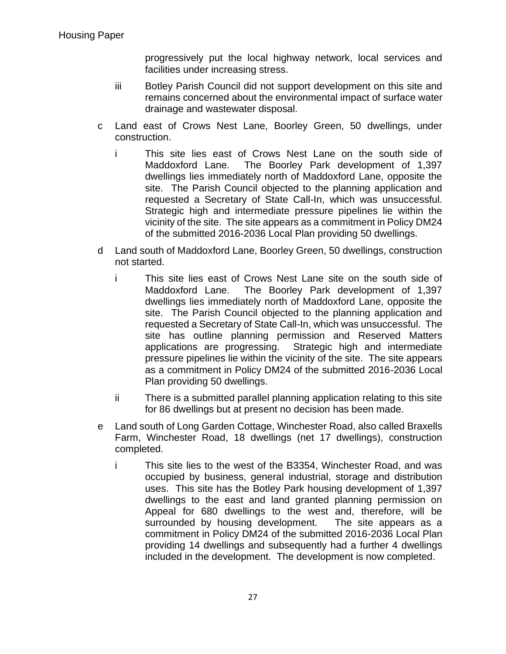progressively put the local highway network, local services and facilities under increasing stress.

- iii Botley Parish Council did not support development on this site and remains concerned about the environmental impact of surface water drainage and wastewater disposal.
- c Land east of Crows Nest Lane, Boorley Green, 50 dwellings, under construction.
	- i This site lies east of Crows Nest Lane on the south side of Maddoxford Lane. The Boorley Park development of 1,397 dwellings lies immediately north of Maddoxford Lane, opposite the site. The Parish Council objected to the planning application and requested a Secretary of State Call-In, which was unsuccessful. Strategic high and intermediate pressure pipelines lie within the vicinity of the site. The site appears as a commitment in Policy DM24 of the submitted 2016-2036 Local Plan providing 50 dwellings.
- d Land south of Maddoxford Lane, Boorley Green, 50 dwellings, construction not started.
	- i This site lies east of Crows Nest Lane site on the south side of Maddoxford Lane. The Boorley Park development of 1,397 dwellings lies immediately north of Maddoxford Lane, opposite the site. The Parish Council objected to the planning application and requested a Secretary of State Call-In, which was unsuccessful. The site has outline planning permission and Reserved Matters applications are progressing. Strategic high and intermediate pressure pipelines lie within the vicinity of the site. The site appears as a commitment in Policy DM24 of the submitted 2016-2036 Local Plan providing 50 dwellings.
	- ii There is a submitted parallel planning application relating to this site for 86 dwellings but at present no decision has been made.
- e Land south of Long Garden Cottage, Winchester Road, also called Braxells Farm, Winchester Road, 18 dwellings (net 17 dwellings), construction completed.
	- i This site lies to the west of the B3354, Winchester Road, and was occupied by business, general industrial, storage and distribution uses. This site has the Botley Park housing development of 1,397 dwellings to the east and land granted planning permission on Appeal for 680 dwellings to the west and, therefore, will be surrounded by housing development. The site appears as a commitment in Policy DM24 of the submitted 2016-2036 Local Plan providing 14 dwellings and subsequently had a further 4 dwellings included in the development. The development is now completed.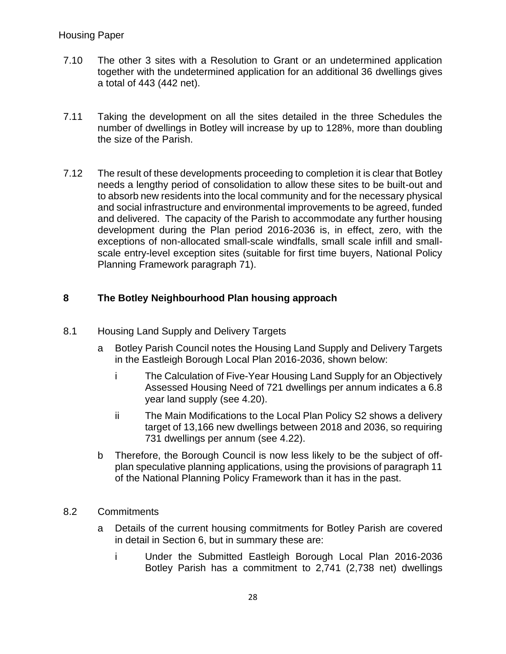- 7.10 The other 3 sites with a Resolution to Grant or an undetermined application together with the undetermined application for an additional 36 dwellings gives a total of 443 (442 net).
- 7.11 Taking the development on all the sites detailed in the three Schedules the number of dwellings in Botley will increase by up to 128%, more than doubling the size of the Parish.
- 7.12 The result of these developments proceeding to completion it is clear that Botley needs a lengthy period of consolidation to allow these sites to be built-out and to absorb new residents into the local community and for the necessary physical and social infrastructure and environmental improvements to be agreed, funded and delivered. The capacity of the Parish to accommodate any further housing development during the Plan period 2016-2036 is, in effect, zero, with the exceptions of non-allocated small-scale windfalls, small scale infill and smallscale entry-level exception sites (suitable for first time buyers, National Policy Planning Framework paragraph 71).

## **8 The Botley Neighbourhood Plan housing approach**

- 8.1 Housing Land Supply and Delivery Targets
	- a Botley Parish Council notes the Housing Land Supply and Delivery Targets in the Eastleigh Borough Local Plan 2016-2036, shown below:
		- i The Calculation of Five-Year Housing Land Supply for an Objectively Assessed Housing Need of 721 dwellings per annum indicates a 6.8 year land supply (see 4.20).
		- ii The Main Modifications to the Local Plan Policy S2 shows a delivery target of 13,166 new dwellings between 2018 and 2036, so requiring 731 dwellings per annum (see 4.22).
	- b Therefore, the Borough Council is now less likely to be the subject of offplan speculative planning applications, using the provisions of paragraph 11 of the National Planning Policy Framework than it has in the past.
- 8.2 Commitments
	- a Details of the current housing commitments for Botley Parish are covered in detail in Section 6, but in summary these are:
		- i Under the Submitted Eastleigh Borough Local Plan 2016-2036 Botley Parish has a commitment to 2,741 (2,738 net) dwellings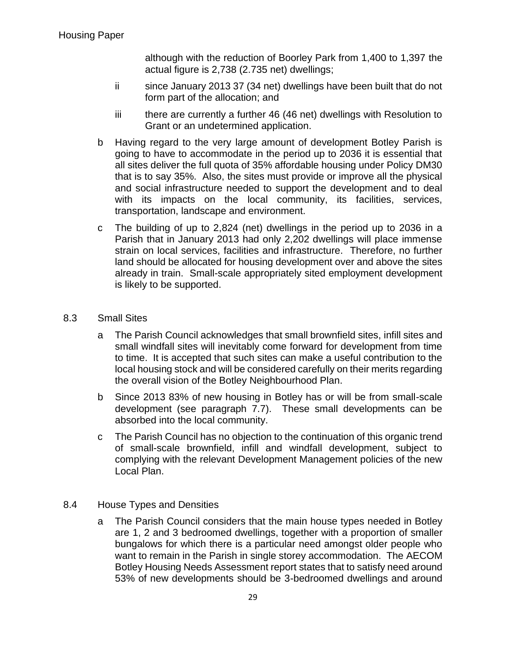although with the reduction of Boorley Park from 1,400 to 1,397 the actual figure is 2,738 (2.735 net) dwellings;

- ii since January 2013 37 (34 net) dwellings have been built that do not form part of the allocation; and
- iii there are currently a further 46 (46 net) dwellings with Resolution to Grant or an undetermined application.
- b Having regard to the very large amount of development Botley Parish is going to have to accommodate in the period up to 2036 it is essential that all sites deliver the full quota of 35% affordable housing under Policy DM30 that is to say 35%. Also, the sites must provide or improve all the physical and social infrastructure needed to support the development and to deal with its impacts on the local community, its facilities, services, transportation, landscape and environment.
- c The building of up to 2,824 (net) dwellings in the period up to 2036 in a Parish that in January 2013 had only 2,202 dwellings will place immense strain on local services, facilities and infrastructure. Therefore, no further land should be allocated for housing development over and above the sites already in train. Small-scale appropriately sited employment development is likely to be supported.
- 8.3 Small Sites
	- a The Parish Council acknowledges that small brownfield sites, infill sites and small windfall sites will inevitably come forward for development from time to time. It is accepted that such sites can make a useful contribution to the local housing stock and will be considered carefully on their merits regarding the overall vision of the Botley Neighbourhood Plan.
	- b Since 2013 83% of new housing in Botley has or will be from small-scale development (see paragraph 7.7). These small developments can be absorbed into the local community.
	- c The Parish Council has no objection to the continuation of this organic trend of small-scale brownfield, infill and windfall development, subject to complying with the relevant Development Management policies of the new Local Plan.
- 8.4 House Types and Densities
	- a The Parish Council considers that the main house types needed in Botley are 1, 2 and 3 bedroomed dwellings, together with a proportion of smaller bungalows for which there is a particular need amongst older people who want to remain in the Parish in single storey accommodation. The AECOM Botley Housing Needs Assessment report states that to satisfy need around 53% of new developments should be 3-bedroomed dwellings and around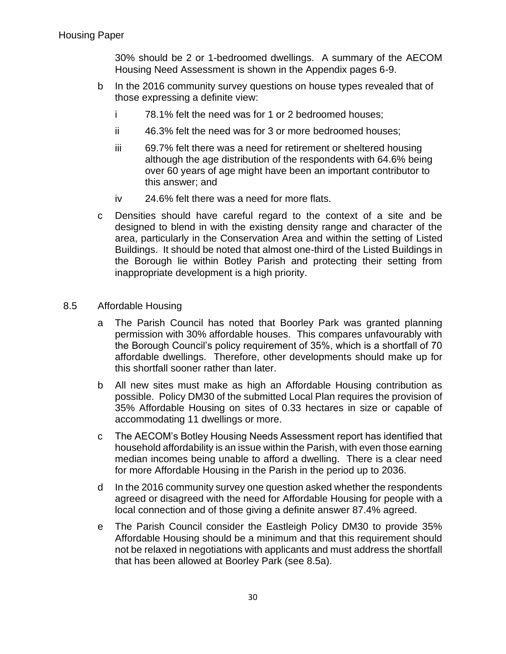30% should be 2 or 1-bedroomed dwellings. A summary of the AECOM Housing Need Assessment is shown in the Appendix pages 6-9.

- b In the 2016 community survey questions on house types revealed that of those expressing a definite view:
	- i 78.1% felt the need was for 1 or 2 bedroomed houses;
	- ii 46.3% felt the need was for 3 or more bedroomed houses;
	- iii 69.7% felt there was a need for retirement or sheltered housing although the age distribution of the respondents with 64.6% being over 60 years of age might have been an important contributor to this answer; and
	- iv 24.6% felt there was a need for more flats.
- c Densities should have careful regard to the context of a site and be designed to blend in with the existing density range and character of the area, particularly in the Conservation Area and within the setting of Listed Buildings. It should be noted that almost one-third of the Listed Buildings in the Borough lie within Botley Parish and protecting their setting from inappropriate development is a high priority.
- 8.5 Affordable Housing
	- a The Parish Council has noted that Boorley Park was granted planning permission with 30% affordable houses. This compares unfavourably with the Borough Council's policy requirement of 35%, which is a shortfall of 70 affordable dwellings. Therefore, other developments should make up for this shortfall sooner rather than later.
	- b All new sites must make as high an Affordable Housing contribution as possible. Policy DM30 of the submitted Local Plan requires the provision of 35% Affordable Housing on sites of 0.33 hectares in size or capable of accommodating 11 dwellings or more.
	- c The AECOM's Botley Housing Needs Assessment report has identified that household affordability is an issue within the Parish, with even those earning median incomes being unable to afford a dwelling. There is a clear need for more Affordable Housing in the Parish in the period up to 2036.
	- d In the 2016 community survey one question asked whether the respondents agreed or disagreed with the need for Affordable Housing for people with a local connection and of those giving a definite answer 87.4% agreed.
	- e The Parish Council consider the Eastleigh Policy DM30 to provide 35% Affordable Housing should be a minimum and that this requirement should not be relaxed in negotiations with applicants and must address the shortfall that has been allowed at Boorley Park (see 8.5a).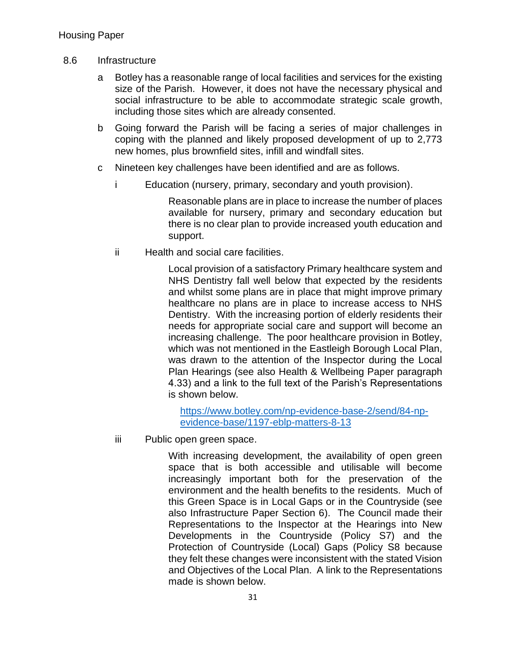- 8.6 Infrastructure
	- a Botley has a reasonable range of local facilities and services for the existing size of the Parish. However, it does not have the necessary physical and social infrastructure to be able to accommodate strategic scale growth, including those sites which are already consented.
	- b Going forward the Parish will be facing a series of major challenges in coping with the planned and likely proposed development of up to 2,773 new homes, plus brownfield sites, infill and windfall sites.
	- c Nineteen key challenges have been identified and are as follows.
		- i Education (nursery, primary, secondary and youth provision).

Reasonable plans are in place to increase the number of places available for nursery, primary and secondary education but there is no clear plan to provide increased youth education and support.

ii Health and social care facilities.

Local provision of a satisfactory Primary healthcare system and NHS Dentistry fall well below that expected by the residents and whilst some plans are in place that might improve primary healthcare no plans are in place to increase access to NHS Dentistry. With the increasing portion of elderly residents their needs for appropriate social care and support will become an increasing challenge. The poor healthcare provision in Botley, which was not mentioned in the Eastleigh Borough Local Plan, was drawn to the attention of the Inspector during the Local Plan Hearings (see also Health & Wellbeing Paper paragraph 4.33) and a link to the full text of the Parish's Representations is shown below.

[https://www.botley.com/np-evidence-base-2/send/84-np](https://www.botley.com/np-evidence-base-2/send/84-np-evidence-base/1197-eblp-matters-8-13)[evidence-base/1197-eblp-matters-8-13](https://www.botley.com/np-evidence-base-2/send/84-np-evidence-base/1197-eblp-matters-8-13)

iii Public open green space.

With increasing development, the availability of open green space that is both accessible and utilisable will become increasingly important both for the preservation of the environment and the health benefits to the residents. Much of this Green Space is in Local Gaps or in the Countryside (see also Infrastructure Paper Section 6). The Council made their Representations to the Inspector at the Hearings into New Developments in the Countryside (Policy S7) and the Protection of Countryside (Local) Gaps (Policy S8 because they felt these changes were inconsistent with the stated Vision and Objectives of the Local Plan. A link to the Representations made is shown below.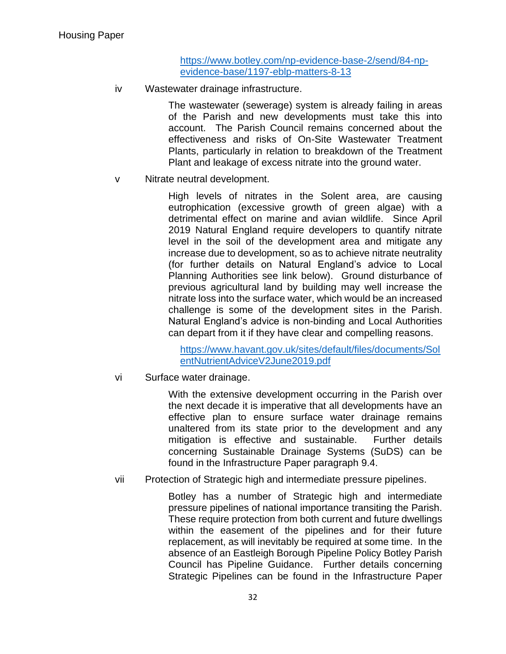[https://www.botley.com/np-evidence-base-2/send/84-np](https://www.botley.com/np-evidence-base-2/send/84-np-evidence-base/1197-eblp-matters-8-13)[evidence-base/1197-eblp-matters-8-13](https://www.botley.com/np-evidence-base-2/send/84-np-evidence-base/1197-eblp-matters-8-13)

iv Wastewater drainage infrastructure.

The wastewater (sewerage) system is already failing in areas of the Parish and new developments must take this into account. The Parish Council remains concerned about the effectiveness and risks of On-Site Wastewater Treatment Plants, particularly in relation to breakdown of the Treatment Plant and leakage of excess nitrate into the ground water.

v Nitrate neutral development.

High levels of nitrates in the Solent area, are causing eutrophication (excessive growth of green algae) with a detrimental effect on marine and avian wildlife. Since April 2019 Natural England require developers to quantify nitrate level in the soil of the development area and mitigate any increase due to development, so as to achieve nitrate neutrality (for further details on Natural England's advice to Local Planning Authorities see link below). Ground disturbance of previous agricultural land by building may well increase the nitrate loss into the surface water, which would be an increased challenge is some of the development sites in the Parish. Natural England's advice is non-binding and Local Authorities can depart from it if they have clear and compelling reasons.

[https://www.havant.gov.uk/sites/default/files/documents/Sol](https://www.havant.gov.uk/sites/default/files/documents/SolentNutrientAdviceV2June2019.pdf) [entNutrientAdviceV2June2019.pdf](https://www.havant.gov.uk/sites/default/files/documents/SolentNutrientAdviceV2June2019.pdf)

vi Surface water drainage.

With the extensive development occurring in the Parish over the next decade it is imperative that all developments have an effective plan to ensure surface water drainage remains unaltered from its state prior to the development and any mitigation is effective and sustainable. Further details concerning Sustainable Drainage Systems (SuDS) can be found in the Infrastructure Paper paragraph 9.4.

vii Protection of Strategic high and intermediate pressure pipelines.

Botley has a number of Strategic high and intermediate pressure pipelines of national importance transiting the Parish. These require protection from both current and future dwellings within the easement of the pipelines and for their future replacement, as will inevitably be required at some time. In the absence of an Eastleigh Borough Pipeline Policy Botley Parish Council has Pipeline Guidance. Further details concerning Strategic Pipelines can be found in the Infrastructure Paper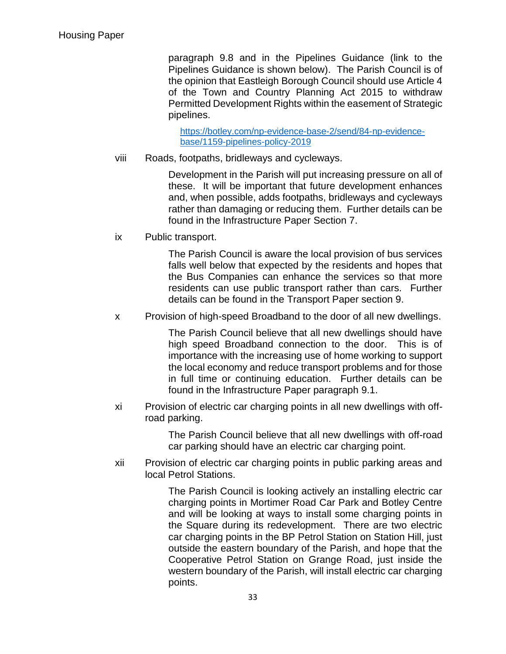paragraph 9.8 and in the Pipelines Guidance (link to the Pipelines Guidance is shown below). The Parish Council is of the opinion that Eastleigh Borough Council should use Article 4 of the Town and Country Planning Act 2015 to withdraw Permitted Development Rights within the easement of Strategic pipelines.

[https://botley.com/np-evidence-base-2/send/84-np-evidence](https://botley.com/np-evidence-base-2/send/84-np-evidence-base/1159-pipelines-policy-2019)[base/1159-pipelines-policy-2019](https://botley.com/np-evidence-base-2/send/84-np-evidence-base/1159-pipelines-policy-2019)

viii Roads, footpaths, bridleways and cycleways.

Development in the Parish will put increasing pressure on all of these. It will be important that future development enhances and, when possible, adds footpaths, bridleways and cycleways rather than damaging or reducing them. Further details can be found in the Infrastructure Paper Section 7.

ix Public transport.

The Parish Council is aware the local provision of bus services falls well below that expected by the residents and hopes that the Bus Companies can enhance the services so that more residents can use public transport rather than cars. Further details can be found in the Transport Paper section 9.

x Provision of high-speed Broadband to the door of all new dwellings.

The Parish Council believe that all new dwellings should have high speed Broadband connection to the door. This is of importance with the increasing use of home working to support the local economy and reduce transport problems and for those in full time or continuing education. Further details can be found in the Infrastructure Paper paragraph 9.1.

xi Provision of electric car charging points in all new dwellings with offroad parking.

> The Parish Council believe that all new dwellings with off-road car parking should have an electric car charging point.

xii Provision of electric car charging points in public parking areas and local Petrol Stations.

> The Parish Council is looking actively an installing electric car charging points in Mortimer Road Car Park and Botley Centre and will be looking at ways to install some charging points in the Square during its redevelopment. There are two electric car charging points in the BP Petrol Station on Station Hill, just outside the eastern boundary of the Parish, and hope that the Cooperative Petrol Station on Grange Road, just inside the western boundary of the Parish, will install electric car charging points.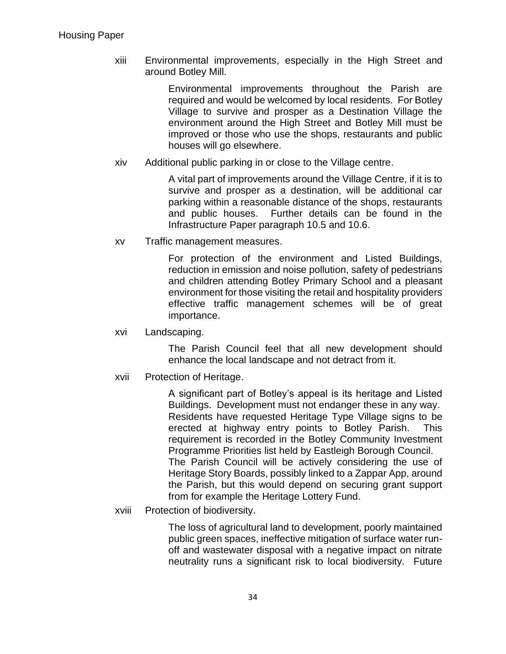xiii Environmental improvements, especially in the High Street and around Botley Mill.

> Environmental improvements throughout the Parish are required and would be welcomed by local residents. For Botley Village to survive and prosper as a Destination Village the environment around the High Street and Botley Mill must be improved or those who use the shops, restaurants and public houses will go elsewhere.

xiv Additional public parking in or close to the Village centre.

A vital part of improvements around the Village Centre, if it is to survive and prosper as a destination, will be additional car parking within a reasonable distance of the shops, restaurants and public houses. Further details can be found in the Infrastructure Paper paragraph 10.5 and 10.6.

xv Traffic management measures.

For protection of the environment and Listed Buildings, reduction in emission and noise pollution, safety of pedestrians and children attending Botley Primary School and a pleasant environment for those visiting the retail and hospitality providers effective traffic management schemes will be of great importance.

xvi Landscaping.

The Parish Council feel that all new development should enhance the local landscape and not detract from it.

xvii Protection of Heritage.

A significant part of Botley's appeal is its heritage and Listed Buildings. Development must not endanger these in any way. Residents have requested Heritage Type Village signs to be erected at highway entry points to Botley Parish. This requirement is recorded in the Botley Community Investment Programme Priorities list held by Eastleigh Borough Council. The Parish Council will be actively considering the use of Heritage Story Boards, possibly linked to a Zappar App, around the Parish, but this would depend on securing grant support from for example the Heritage Lottery Fund.

xviii Protection of biodiversity.

The loss of agricultural land to development, poorly maintained public green spaces, ineffective mitigation of surface water runoff and wastewater disposal with a negative impact on nitrate neutrality runs a significant risk to local biodiversity. Future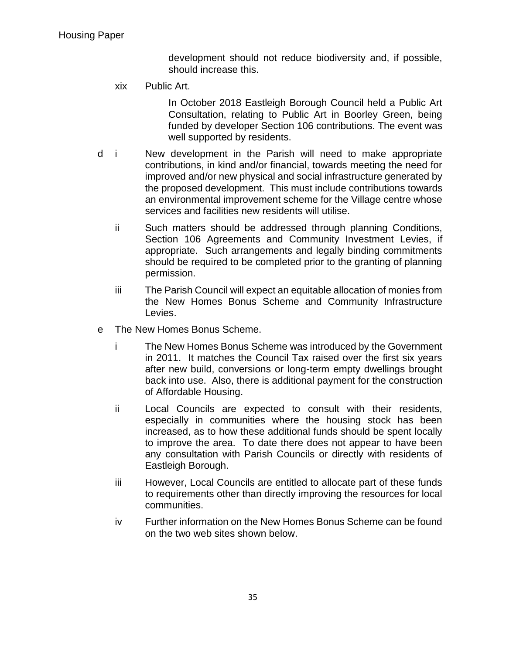development should not reduce biodiversity and, if possible, should increase this.

xix Public Art.

In October 2018 Eastleigh Borough Council held a Public Art Consultation, relating to Public Art in Boorley Green, being funded by developer Section 106 contributions. The event was well supported by residents.

- d i New development in the Parish will need to make appropriate contributions, in kind and/or financial, towards meeting the need for improved and/or new physical and social infrastructure generated by the proposed development. This must include contributions towards an environmental improvement scheme for the Village centre whose services and facilities new residents will utilise.
	- ii Such matters should be addressed through planning Conditions, Section 106 Agreements and Community Investment Levies, if appropriate. Such arrangements and legally binding commitments should be required to be completed prior to the granting of planning permission.
	- iii The Parish Council will expect an equitable allocation of monies from the New Homes Bonus Scheme and Community Infrastructure Levies.
- e The New Homes Bonus Scheme.
	- i The New Homes Bonus Scheme was introduced by the Government in 2011. It matches the Council Tax raised over the first six years after new build, conversions or long-term empty dwellings brought back into use. Also, there is additional payment for the construction of Affordable Housing.
	- ii Local Councils are expected to consult with their residents, especially in communities where the housing stock has been increased, as to how these additional funds should be spent locally to improve the area. To date there does not appear to have been any consultation with Parish Councils or directly with residents of Eastleigh Borough.
	- iii However, Local Councils are entitled to allocate part of these funds to requirements other than directly improving the resources for local communities.
	- iv Further information on the New Homes Bonus Scheme can be found on the two web sites shown below.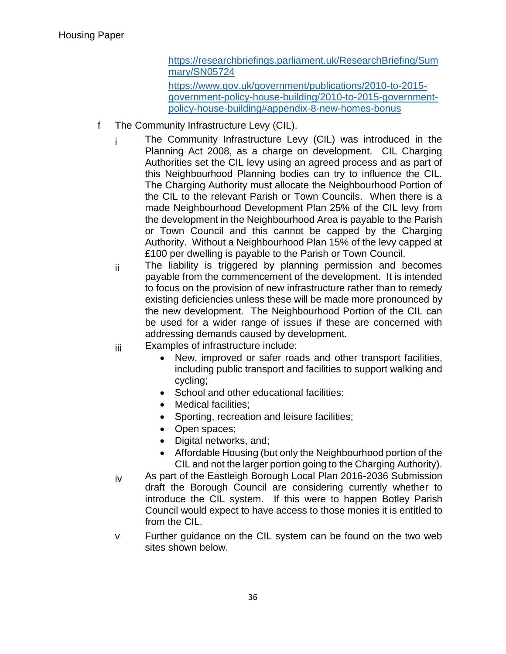[https://researchbriefings.parliament.uk/ResearchBriefing/Sum](https://researchbriefings.parliament.uk/ResearchBriefing/Summary/SN05724) [mary/SN05724](https://researchbriefings.parliament.uk/ResearchBriefing/Summary/SN05724)

[https://www.gov.uk/government/publications/2010-to-2015](https://www.gov.uk/government/publications/2010-to-2015-government-policy-house-building/2010-to-2015-government-policy-house-building#appendix-8-new-homes-bonus) [government-policy-house-building/2010-to-2015-government](https://www.gov.uk/government/publications/2010-to-2015-government-policy-house-building/2010-to-2015-government-policy-house-building#appendix-8-new-homes-bonus)[policy-house-building#appendix-8-new-homes-bonus](https://www.gov.uk/government/publications/2010-to-2015-government-policy-house-building/2010-to-2015-government-policy-house-building#appendix-8-new-homes-bonus)

- f The Community Infrastructure Levy (CIL).
	- i The Community Infrastructure Levy (CIL) was introduced in the Planning Act 2008, as a charge on development. CIL Charging Authorities set the CIL levy using an agreed process and as part of this Neighbourhood Planning bodies can try to influence the CIL. The Charging Authority must allocate the Neighbourhood Portion of the CIL to the relevant Parish or Town Councils. When there is a made Neighbourhood Development Plan 25% of the CIL levy from the development in the Neighbourhood Area is payable to the Parish or Town Council and this cannot be capped by the Charging Authority. Without a Neighbourhood Plan 15% of the levy capped at £100 per dwelling is payable to the Parish or Town Council.
	- $ii$  The liability is triggered by planning permission and becomes payable from the commencement of the development. It is intended to focus on the provision of new infrastructure rather than to remedy existing deficiencies unless these will be made more pronounced by the new development. The Neighbourhood Portion of the CIL can be used for a wider range of issues if these are concerned with addressing demands caused by development.
	- iii Examples of infrastructure include:
		- New, improved or safer roads and other transport facilities, including public transport and facilities to support walking and cycling;
		- School and other educational facilities:
		- Medical facilities;
		- Sporting, recreation and leisure facilities;
		- Open spaces;
		- Digital networks, and;
		- Affordable Housing (but only the Neighbourhood portion of the CIL and not the larger portion going to the Charging Authority).
	- iv As part of the Eastleigh Borough Local Plan 2016-2036 Submission draft the Borough Council are considering currently whether to introduce the CIL system. If this were to happen Botley Parish Council would expect to have access to those monies it is entitled to from the CIL.
	- v Further guidance on the CIL system can be found on the two web sites shown below.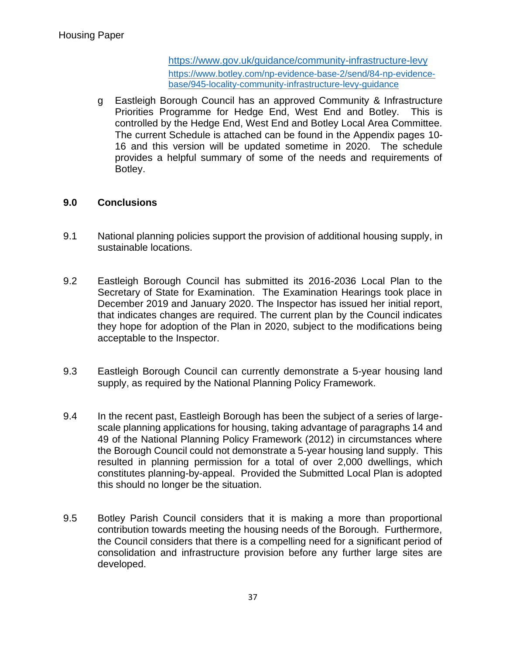<https://www.gov.uk/guidance/community-infrastructure-levy> [https://www.botley.com/np-evidence-base-2/send/84-np-evidence](https://www.botley.com/np-evidence-base-2/send/84-np-evidence-base/945-locality-community-infrastructure-levy-guidance)[base/945-locality-community-infrastructure-levy-guidance](https://www.botley.com/np-evidence-base-2/send/84-np-evidence-base/945-locality-community-infrastructure-levy-guidance)

g Eastleigh Borough Council has an approved Community & Infrastructure Priorities Programme for Hedge End, West End and Botley. This is controlled by the Hedge End, West End and Botley Local Area Committee. The current Schedule is attached can be found in the Appendix pages 10- 16 and this version will be updated sometime in 2020. The schedule provides a helpful summary of some of the needs and requirements of Botley.

## **9.0 Conclusions**

- 9.1 National planning policies support the provision of additional housing supply, in sustainable locations.
- 9.2 Eastleigh Borough Council has submitted its 2016-2036 Local Plan to the Secretary of State for Examination. The Examination Hearings took place in December 2019 and January 2020. The Inspector has issued her initial report, that indicates changes are required. The current plan by the Council indicates they hope for adoption of the Plan in 2020, subject to the modifications being acceptable to the Inspector.
- 9.3 Eastleigh Borough Council can currently demonstrate a 5-year housing land supply, as required by the National Planning Policy Framework.
- 9.4 In the recent past, Eastleigh Borough has been the subject of a series of largescale planning applications for housing, taking advantage of paragraphs 14 and 49 of the National Planning Policy Framework (2012) in circumstances where the Borough Council could not demonstrate a 5-year housing land supply. This resulted in planning permission for a total of over 2,000 dwellings, which constitutes planning-by-appeal. Provided the Submitted Local Plan is adopted this should no longer be the situation.
- 9.5 Botley Parish Council considers that it is making a more than proportional contribution towards meeting the housing needs of the Borough. Furthermore, the Council considers that there is a compelling need for a significant period of consolidation and infrastructure provision before any further large sites are developed.